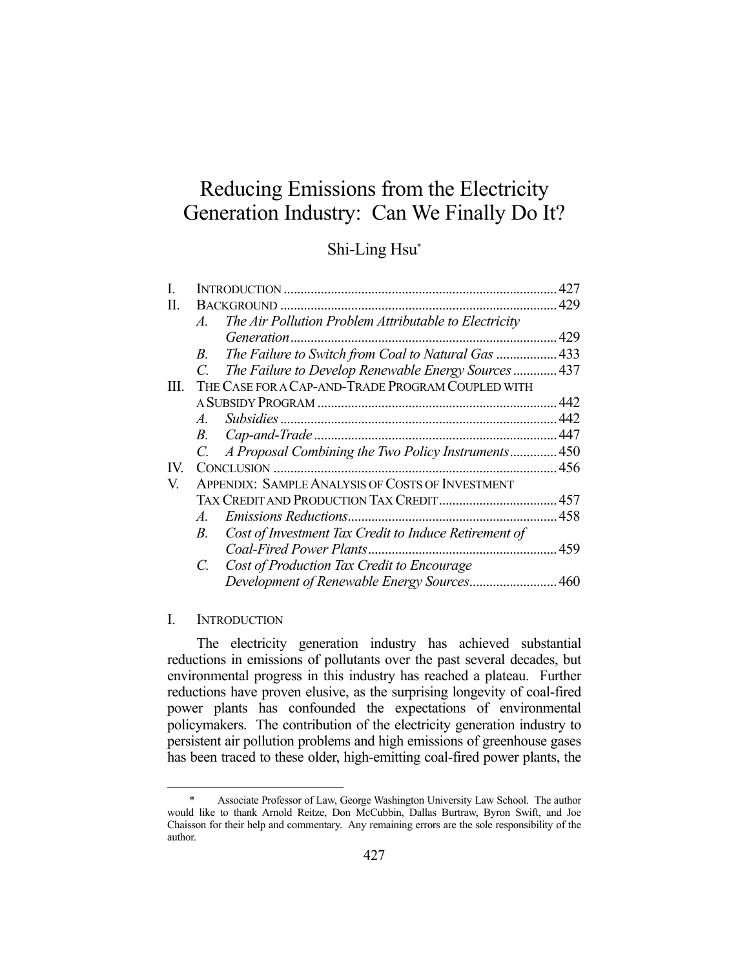# Reducing Emissions from the Electricity Generation Industry: Can We Finally Do It?

## Shi-Ling Hsu\*

|     |                       |                                                         | 427   |
|-----|-----------------------|---------------------------------------------------------|-------|
| П.  |                       |                                                         |       |
|     | $\mathcal{A}_{\cdot}$ | The Air Pollution Problem Attributable to Electricity   |       |
|     |                       |                                                         | 429   |
|     | B.                    | The Failure to Switch from Coal to Natural Gas  433     |       |
|     | $\mathcal{C}$         | The Failure to Develop Renewable Energy Sources 437     |       |
| HL. |                       | THE CASE FOR A CAP-AND-TRADE PROGRAM COUPLED WITH       |       |
|     |                       |                                                         | . 442 |
|     | $\mathcal{A}_{\cdot}$ |                                                         | .442  |
|     | В.                    |                                                         | .447  |
|     |                       | A Proposal Combining the Two Policy Instruments 450     |       |
| IV. |                       |                                                         |       |
| V.  |                       | <b>APPENDIX: SAMPLE ANALYSIS OF COSTS OF INVESTMENT</b> |       |
|     |                       |                                                         |       |
|     | $\mathcal{A}_{\cdot}$ |                                                         |       |
|     | В.                    | Cost of Investment Tax Credit to Induce Retirement of   |       |
|     |                       | Coal-Fired Power Plants.                                | 459   |
|     | C.                    | Cost of Production Tax Credit to Encourage              |       |
|     |                       |                                                         | .460  |

#### I. INTRODUCTION

1

 The electricity generation industry has achieved substantial reductions in emissions of pollutants over the past several decades, but environmental progress in this industry has reached a plateau. Further reductions have proven elusive, as the surprising longevity of coal-fired power plants has confounded the expectations of environmental policymakers. The contribution of the electricity generation industry to persistent air pollution problems and high emissions of greenhouse gases has been traced to these older, high-emitting coal-fired power plants, the

 <sup>\*</sup> Associate Professor of Law, George Washington University Law School. The author would like to thank Arnold Reitze, Don McCubbin, Dallas Burtraw, Byron Swift, and Joe Chaisson for their help and commentary. Any remaining errors are the sole responsibility of the author.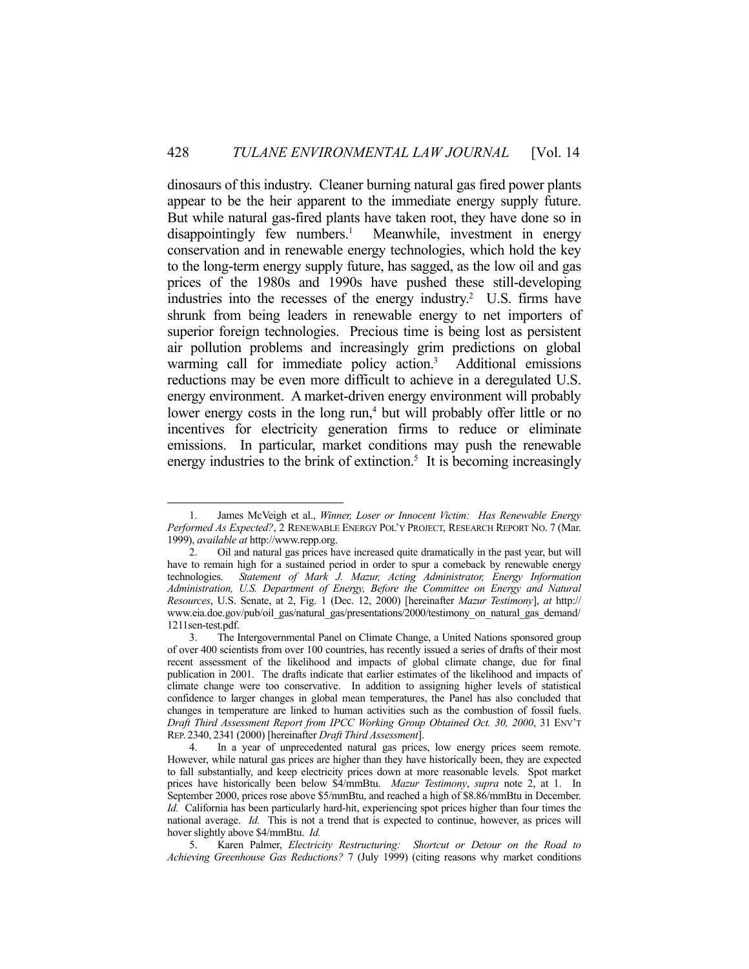dinosaurs of this industry. Cleaner burning natural gas fired power plants appear to be the heir apparent to the immediate energy supply future. But while natural gas-fired plants have taken root, they have done so in  $disappointingly few numbers.<sup>1</sup>$  Meanwhile, investment in energy conservation and in renewable energy technologies, which hold the key to the long-term energy supply future, has sagged, as the low oil and gas prices of the 1980s and 1990s have pushed these still-developing industries into the recesses of the energy industry.<sup>2</sup> U.S. firms have shrunk from being leaders in renewable energy to net importers of superior foreign technologies. Precious time is being lost as persistent air pollution problems and increasingly grim predictions on global warming call for immediate policy action.<sup>3</sup> Additional emissions reductions may be even more difficult to achieve in a deregulated U.S. energy environment. A market-driven energy environment will probably lower energy costs in the long run,<sup>4</sup> but will probably offer little or no incentives for electricity generation firms to reduce or eliminate emissions. In particular, market conditions may push the renewable energy industries to the brink of extinction.<sup>5</sup> It is becoming increasingly

 <sup>1.</sup> James McVeigh et al., *Winner, Loser or Innocent Victim: Has Renewable Energy Performed As Expected?*, 2 RENEWABLE ENERGY POL'Y PROJECT, RESEARCH REPORT NO. 7 (Mar. 1999), *available at* http://www.repp.org.

 <sup>2.</sup> Oil and natural gas prices have increased quite dramatically in the past year, but will have to remain high for a sustained period in order to spur a comeback by renewable energy technologies. *Statement of Mark J. Mazur, Acting Administrator, Energy Information Administration, U.S. Department of Energy, Before the Committee on Energy and Natural Resources*, U.S. Senate, at 2, Fig. 1 (Dec. 12, 2000) [hereinafter *Mazur Testimony*], *at* http:// www.eia.doe.gov/pub/oil\_gas/natural\_gas/presentations/2000/testimony\_on\_natural\_gas\_demand/ 1211sen-test.pdf.

 <sup>3.</sup> The Intergovernmental Panel on Climate Change, a United Nations sponsored group of over 400 scientists from over 100 countries, has recently issued a series of drafts of their most recent assessment of the likelihood and impacts of global climate change, due for final publication in 2001. The drafts indicate that earlier estimates of the likelihood and impacts of climate change were too conservative. In addition to assigning higher levels of statistical confidence to larger changes in global mean temperatures, the Panel has also concluded that changes in temperature are linked to human activities such as the combustion of fossil fuels. *Draft Third Assessment Report from IPCC Working Group Obtained Oct. 30, 2000*, 31 ENV'T REP. 2340, 2341 (2000) [hereinafter *Draft Third Assessment*].

In a year of unprecedented natural gas prices, low energy prices seem remote. However, while natural gas prices are higher than they have historically been, they are expected to fall substantially, and keep electricity prices down at more reasonable levels. Spot market prices have historically been below \$4/mmBtu. *Mazur Testimony*, *supra* note 2, at 1. In September 2000, prices rose above \$5/mmBtu, and reached a high of \$8.86/mmBtu in December. *Id.* California has been particularly hard-hit, experiencing spot prices higher than four times the national average. *Id.* This is not a trend that is expected to continue, however, as prices will hover slightly above \$4/mmBtu. *Id.*

 <sup>5.</sup> Karen Palmer, *Electricity Restructuring: Shortcut or Detour on the Road to Achieving Greenhouse Gas Reductions?* 7 (July 1999) (citing reasons why market conditions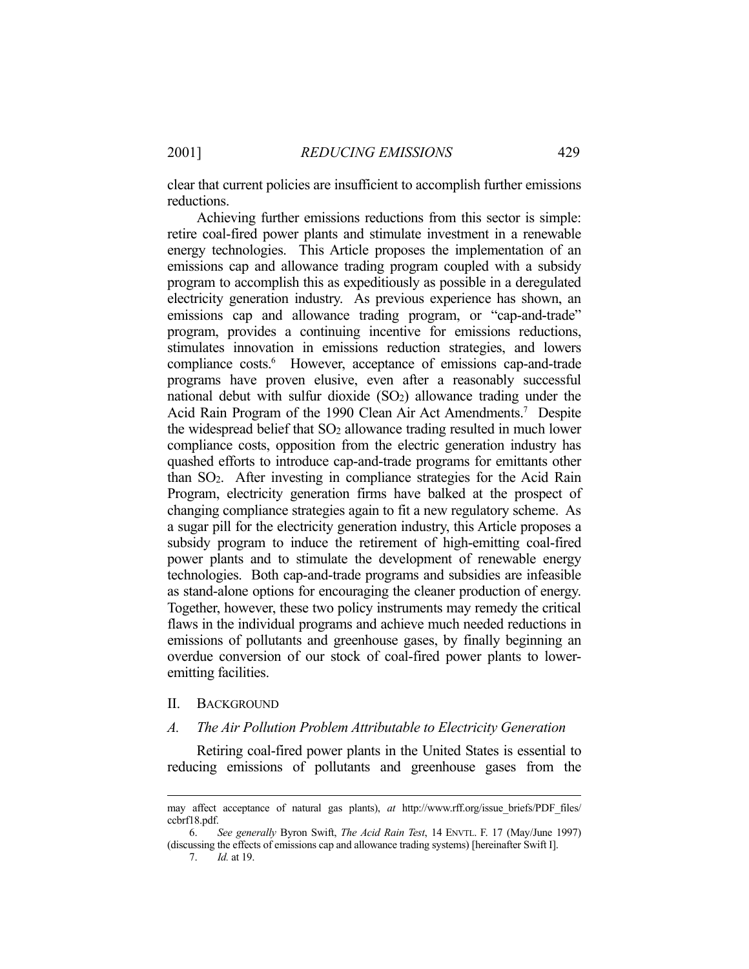clear that current policies are insufficient to accomplish further emissions reductions.

 Achieving further emissions reductions from this sector is simple: retire coal-fired power plants and stimulate investment in a renewable energy technologies. This Article proposes the implementation of an emissions cap and allowance trading program coupled with a subsidy program to accomplish this as expeditiously as possible in a deregulated electricity generation industry. As previous experience has shown, an emissions cap and allowance trading program, or "cap-and-trade" program, provides a continuing incentive for emissions reductions, stimulates innovation in emissions reduction strategies, and lowers compliance costs.<sup>6</sup> However, acceptance of emissions cap-and-trade programs have proven elusive, even after a reasonably successful national debut with sulfur dioxide  $(SO<sub>2</sub>)$  allowance trading under the Acid Rain Program of the 1990 Clean Air Act Amendments.<sup>7</sup> Despite the widespread belief that SO2 allowance trading resulted in much lower compliance costs, opposition from the electric generation industry has quashed efforts to introduce cap-and-trade programs for emittants other than SO2. After investing in compliance strategies for the Acid Rain Program, electricity generation firms have balked at the prospect of changing compliance strategies again to fit a new regulatory scheme. As a sugar pill for the electricity generation industry, this Article proposes a subsidy program to induce the retirement of high-emitting coal-fired power plants and to stimulate the development of renewable energy technologies. Both cap-and-trade programs and subsidies are infeasible as stand-alone options for encouraging the cleaner production of energy. Together, however, these two policy instruments may remedy the critical flaws in the individual programs and achieve much needed reductions in emissions of pollutants and greenhouse gases, by finally beginning an overdue conversion of our stock of coal-fired power plants to loweremitting facilities.

#### II. BACKGROUND

#### *A. The Air Pollution Problem Attributable to Electricity Generation*

 Retiring coal-fired power plants in the United States is essential to reducing emissions of pollutants and greenhouse gases from the

7. *Id.* at 19.

may affect acceptance of natural gas plants), *at* http://www.rff.org/issue\_briefs/PDF\_files/ ccbrf18.pdf.

 <sup>6.</sup> *See generally* Byron Swift, *The Acid Rain Test*, 14 ENVTL. F. 17 (May/June 1997) (discussing the effects of emissions cap and allowance trading systems) [hereinafter Swift I].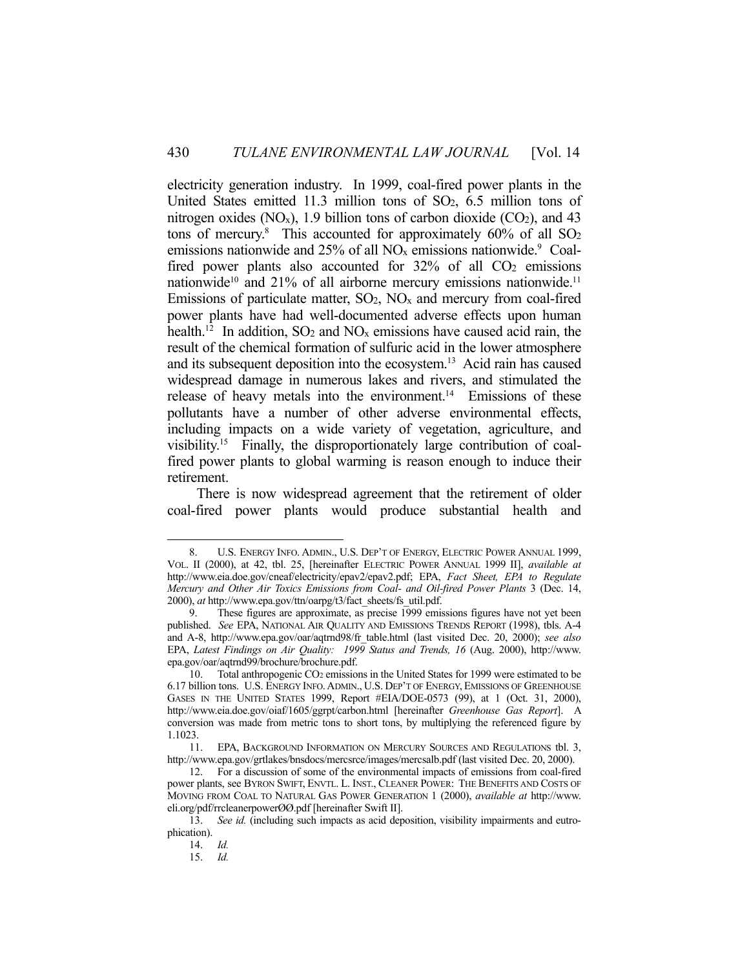electricity generation industry. In 1999, coal-fired power plants in the United States emitted 11.3 million tons of SO2, 6.5 million tons of nitrogen oxides  $(NO_x)$ , 1.9 billion tons of carbon dioxide  $(CO_2)$ , and 43 tons of mercury.<sup>8</sup> This accounted for approximately 60% of all SO<sub>2</sub> emissions nationwide and 25% of all  $NO<sub>x</sub>$  emissions nationwide.<sup>9</sup> Coalfired power plants also accounted for 32% of all CO<sub>2</sub> emissions nationwide<sup>10</sup> and 21% of all airborne mercury emissions nationwide.<sup>11</sup> Emissions of particulate matter,  $SO_2$ ,  $NO<sub>x</sub>$  and mercury from coal-fired power plants have had well-documented adverse effects upon human health.<sup>12</sup> In addition,  $SO_2$  and  $NO_x$  emissions have caused acid rain, the result of the chemical formation of sulfuric acid in the lower atmosphere and its subsequent deposition into the ecosystem.13 Acid rain has caused widespread damage in numerous lakes and rivers, and stimulated the release of heavy metals into the environment.<sup>14</sup> Emissions of these pollutants have a number of other adverse environmental effects, including impacts on a wide variety of vegetation, agriculture, and visibility.15 Finally, the disproportionately large contribution of coalfired power plants to global warming is reason enough to induce their retirement.

 There is now widespread agreement that the retirement of older coal-fired power plants would produce substantial health and

 <sup>8.</sup> U.S. ENERGY INFO. ADMIN., U.S. DEP'T OF ENERGY, ELECTRIC POWER ANNUAL 1999, VOL. II (2000), at 42, tbl. 25, [hereinafter ELECTRIC POWER ANNUAL 1999 II], *available at* http://www.eia.doe.gov/cneaf/electricity/epav2/epav2.pdf; EPA, *Fact Sheet, EPA to Regulate Mercury and Other Air Toxics Emissions from Coal- and Oil-fired Power Plants* 3 (Dec. 14, 2000), *at* http://www.epa.gov/ttn/oarpg/t3/fact\_sheets/fs\_util.pdf.

These figures are approximate, as precise 1999 emissions figures have not yet been published. *See* EPA, NATIONAL AIR QUALITY AND EMISSIONS TRENDS REPORT (1998), tbls. A-4 and A-8, http://www.epa.gov/oar/aqtrnd98/fr\_table.html (last visited Dec. 20, 2000); *see also* EPA, *Latest Findings on Air Quality: 1999 Status and Trends, 16* (Aug. 2000), http://www. epa.gov/oar/aqtrnd99/brochure/brochure.pdf.

 <sup>10.</sup> Total anthropogenic CO2 emissions in the United States for 1999 were estimated to be 6.17 billion tons. U.S. ENERGY INFO.ADMIN., U.S. DEP'T OF ENERGY, EMISSIONS OF GREENHOUSE GASES IN THE UNITED STATES 1999, Report #EIA/DOE-0573 (99), at 1 (Oct. 31, 2000), http://www.eia.doe.gov/oiaf/1605/ggrpt/carbon.html [hereinafter *Greenhouse Gas Report*]. A conversion was made from metric tons to short tons, by multiplying the referenced figure by 1.1023.

 <sup>11.</sup> EPA, BACKGROUND INFORMATION ON MERCURY SOURCES AND REGULATIONS tbl. 3, http://www.epa.gov/grtlakes/bnsdocs/mercsrce/images/mercsalb.pdf (last visited Dec. 20, 2000).

 <sup>12.</sup> For a discussion of some of the environmental impacts of emissions from coal-fired power plants, see BYRON SWIFT, ENVTL. L. INST., CLEANER POWER: THE BENEFITS AND COSTS OF MOVING FROM COAL TO NATURAL GAS POWER GENERATION 1 (2000), *available at* http://www. eli.org/pdf/rrcleanerpowerØØ.pdf [hereinafter Swift II].

 <sup>13.</sup> *See id.* (including such impacts as acid deposition, visibility impairments and eutrophication).

 <sup>14.</sup> *Id.*

 <sup>15.</sup> *Id.*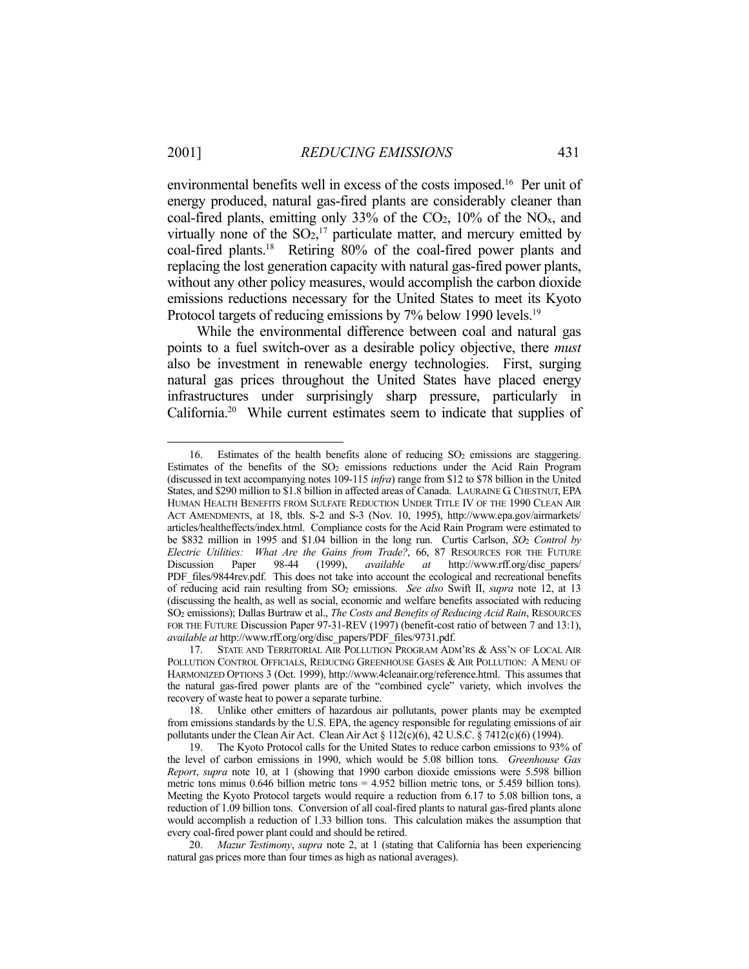1

environmental benefits well in excess of the costs imposed.16 Per unit of energy produced, natural gas-fired plants are considerably cleaner than coal-fired plants, emitting only 33% of the  $CO<sub>2</sub>$ , 10% of the  $NO<sub>x</sub>$ , and virtually none of the  $SO<sub>2</sub>$ ,<sup>17</sup> particulate matter, and mercury emitted by coal-fired plants.18 Retiring 80% of the coal-fired power plants and replacing the lost generation capacity with natural gas-fired power plants, without any other policy measures, would accomplish the carbon dioxide emissions reductions necessary for the United States to meet its Kyoto Protocol targets of reducing emissions by 7% below 1990 levels.<sup>19</sup>

 While the environmental difference between coal and natural gas points to a fuel switch-over as a desirable policy objective, there *must* also be investment in renewable energy technologies. First, surging natural gas prices throughout the United States have placed energy infrastructures under surprisingly sharp pressure, particularly in California.20 While current estimates seem to indicate that supplies of

<sup>16.</sup> Estimates of the health benefits alone of reducing SO<sub>2</sub> emissions are staggering. Estimates of the benefits of the  $SO<sub>2</sub>$  emissions reductions under the Acid Rain Program (discussed in text accompanying notes 109-115 *infra*) range from \$12 to \$78 billion in the United States, and \$290 million to \$1.8 billion in affected areas of Canada. LAURAINE G.CHESTNUT, EPA HUMAN HEALTH BENEFITS FROM SULFATE REDUCTION UNDER TITLE IV OF THE 1990 CLEAN AIR ACT AMENDMENTS, at 18, tbls. S-2 and S-3 (Nov. 10, 1995), http://www.epa.gov/airmarkets/ articles/healtheffects/index.html. Compliance costs for the Acid Rain Program were estimated to be \$832 million in 1995 and \$1.04 billion in the long run. Curtis Carlson, *SO*2 *Control by Electric Utilities: What Are the Gains from Trade?*, 66, 87 RESOURCES FOR THE FUTURE Discussion Paper 98-44 (1999), *available at* http://www.rff.org/disc\_papers/ PDF\_files/9844rev.pdf. This does not take into account the ecological and recreational benefits of reducing acid rain resulting from SO2 emissions. *See also* Swift II, *supra* note 12, at 13 (discussing the health, as well as social, economic and welfare benefits associated with reducing SO2 emissions); Dallas Burtraw et al., *The Costs and Benefits of Reducing Acid Rain*, RESOURCES FOR THE FUTURE Discussion Paper 97-31-REV (1997) (benefit-cost ratio of between 7 and 13:1), *available at* http://www.rff.org/org/disc\_papers/PDF\_files/9731.pdf.

 <sup>17.</sup> STATE AND TERRITORIAL AIR POLLUTION PROGRAM ADM'RS & ASS'N OF LOCAL AIR POLLUTION CONTROL OFFICIALS, REDUCING GREENHOUSE GASES & AIR POLLUTION: A MENU OF HARMONIZED OPTIONS 3 (Oct. 1999), http://www.4cleanair.org/reference.html. This assumes that the natural gas-fired power plants are of the "combined cycle" variety, which involves the recovery of waste heat to power a separate turbine.

 <sup>18.</sup> Unlike other emitters of hazardous air pollutants, power plants may be exempted from emissions standards by the U.S. EPA, the agency responsible for regulating emissions of air pollutants under the Clean Air Act. Clean Air Act § 112(c)(6), 42 U.S.C. § 7412(c)(6) (1994).

 <sup>19.</sup> The Kyoto Protocol calls for the United States to reduce carbon emissions to 93% of the level of carbon emissions in 1990, which would be 5.08 billion tons. *Greenhouse Gas Report*, *supra* note 10, at 1 (showing that 1990 carbon dioxide emissions were 5.598 billion metric tons minus  $0.646$  billion metric tons =  $4.952$  billion metric tons, or  $5.459$  billion tons). Meeting the Kyoto Protocol targets would require a reduction from 6.17 to 5.08 billion tons, a reduction of 1.09 billion tons. Conversion of all coal-fired plants to natural gas-fired plants alone would accomplish a reduction of 1.33 billion tons. This calculation makes the assumption that every coal-fired power plant could and should be retired.

 <sup>20.</sup> *Mazur Testimony*, *supra* note 2, at 1 (stating that California has been experiencing natural gas prices more than four times as high as national averages).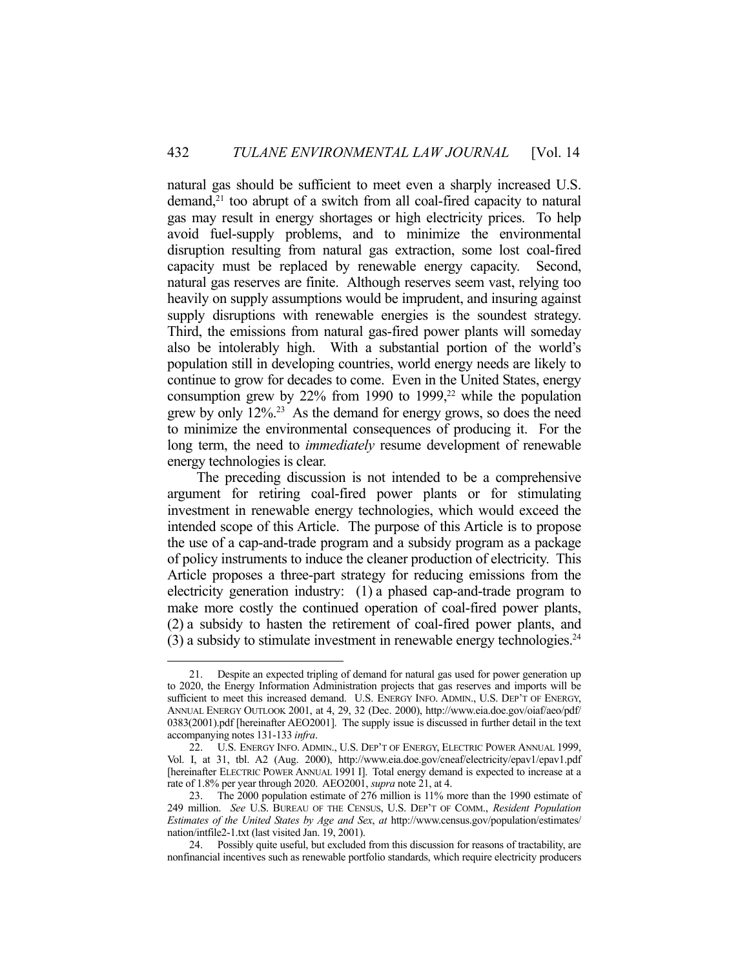natural gas should be sufficient to meet even a sharply increased U.S.  $d$ demand,<sup>21</sup> too abrupt of a switch from all coal-fired capacity to natural gas may result in energy shortages or high electricity prices. To help avoid fuel-supply problems, and to minimize the environmental disruption resulting from natural gas extraction, some lost coal-fired capacity must be replaced by renewable energy capacity. Second, natural gas reserves are finite. Although reserves seem vast, relying too heavily on supply assumptions would be imprudent, and insuring against supply disruptions with renewable energies is the soundest strategy. Third, the emissions from natural gas-fired power plants will someday also be intolerably high. With a substantial portion of the world's population still in developing countries, world energy needs are likely to continue to grow for decades to come. Even in the United States, energy consumption grew by  $22\%$  from 1990 to 1999,<sup>22</sup> while the population grew by only 12%.23 As the demand for energy grows, so does the need to minimize the environmental consequences of producing it. For the long term, the need to *immediately* resume development of renewable energy technologies is clear.

 The preceding discussion is not intended to be a comprehensive argument for retiring coal-fired power plants or for stimulating investment in renewable energy technologies, which would exceed the intended scope of this Article. The purpose of this Article is to propose the use of a cap-and-trade program and a subsidy program as a package of policy instruments to induce the cleaner production of electricity. This Article proposes a three-part strategy for reducing emissions from the electricity generation industry: (1) a phased cap-and-trade program to make more costly the continued operation of coal-fired power plants, (2) a subsidy to hasten the retirement of coal-fired power plants, and  $(3)$  a subsidy to stimulate investment in renewable energy technologies.<sup>24</sup>

 <sup>21.</sup> Despite an expected tripling of demand for natural gas used for power generation up to 2020, the Energy Information Administration projects that gas reserves and imports will be sufficient to meet this increased demand. U.S. ENERGY INFO. ADMIN., U.S. DEP'T OF ENERGY, ANNUAL ENERGY OUTLOOK 2001, at 4, 29, 32 (Dec. 2000), http://www.eia.doe.gov/oiaf/aeo/pdf/ 0383(2001).pdf [hereinafter AEO2001]. The supply issue is discussed in further detail in the text accompanying notes 131-133 *infra*.

 <sup>22.</sup> U.S. ENERGY INFO. ADMIN., U.S. DEP'T OF ENERGY, ELECTRIC POWER ANNUAL 1999, Vol. I, at 31, tbl. A2 (Aug. 2000), http://www.eia.doe.gov/cneaf/electricity/epav1/epav1.pdf [hereinafter ELECTRIC POWER ANNUAL 1991 I]. Total energy demand is expected to increase at a rate of 1.8% per year through 2020. AEO2001, *supra* note 21, at 4.

 <sup>23.</sup> The 2000 population estimate of 276 million is 11% more than the 1990 estimate of 249 million. *See* U.S. BUREAU OF THE CENSUS, U.S. DEP'T OF COMM., *Resident Population Estimates of the United States by Age and Sex*, *at* http://www.census.gov/population/estimates/ nation/intfile2-1.txt (last visited Jan. 19, 2001).

 <sup>24.</sup> Possibly quite useful, but excluded from this discussion for reasons of tractability, are nonfinancial incentives such as renewable portfolio standards, which require electricity producers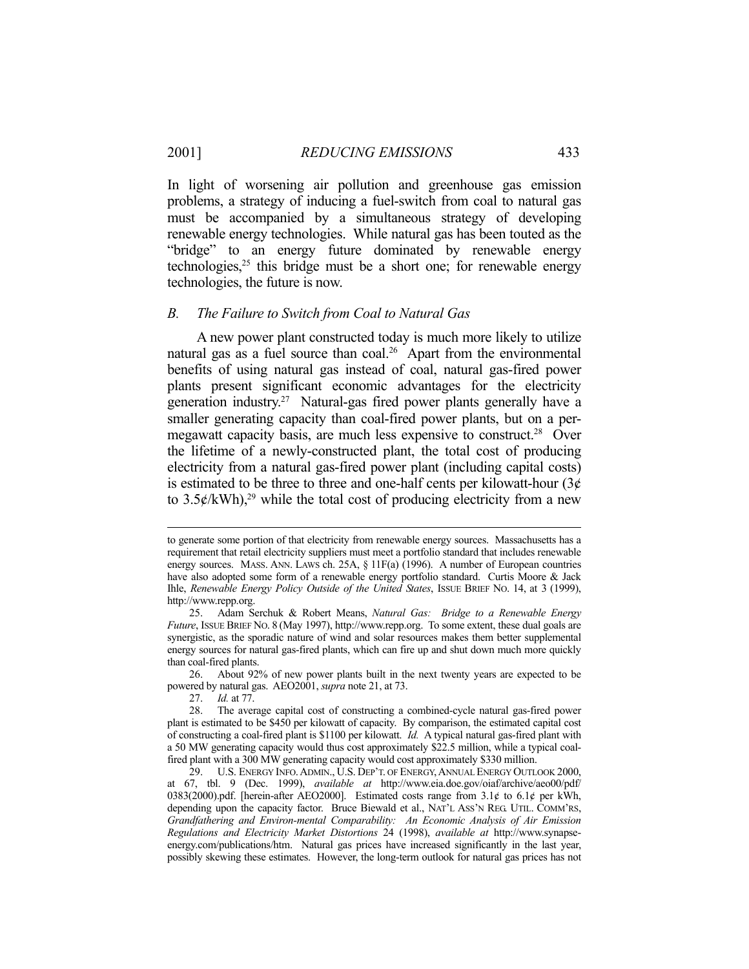In light of worsening air pollution and greenhouse gas emission problems, a strategy of inducing a fuel-switch from coal to natural gas must be accompanied by a simultaneous strategy of developing renewable energy technologies. While natural gas has been touted as the "bridge" to an energy future dominated by renewable energy technologies, $25$  this bridge must be a short one; for renewable energy technologies, the future is now.

#### *B. The Failure to Switch from Coal to Natural Gas*

 A new power plant constructed today is much more likely to utilize natural gas as a fuel source than  $coal^{26}$  Apart from the environmental benefits of using natural gas instead of coal, natural gas-fired power plants present significant economic advantages for the electricity generation industry.27 Natural-gas fired power plants generally have a smaller generating capacity than coal-fired power plants, but on a permegawatt capacity basis, are much less expensive to construct.<sup>28</sup> Over the lifetime of a newly-constructed plant, the total cost of producing electricity from a natural gas-fired power plant (including capital costs) is estimated to be three to three and one-half cents per kilowatt-hour  $(3\phi)$ to  $3.5\frac{\cancel{\epsilon}}{kWh}$ ,<sup>29</sup> while the total cost of producing electricity from a new

to generate some portion of that electricity from renewable energy sources. Massachusetts has a requirement that retail electricity suppliers must meet a portfolio standard that includes renewable energy sources. MASS. ANN. LAWS ch. 25A, § 11F(a) (1996). A number of European countries have also adopted some form of a renewable energy portfolio standard. Curtis Moore & Jack Ihle, *Renewable Energy Policy Outside of the United States*, ISSUE BRIEF NO. 14, at 3 (1999), http://www.repp.org.

 <sup>25.</sup> Adam Serchuk & Robert Means, *Natural Gas: Bridge to a Renewable Energy Future*, ISSUE BRIEF NO. 8 (May 1997), http://www.repp.org. To some extent, these dual goals are synergistic, as the sporadic nature of wind and solar resources makes them better supplemental energy sources for natural gas-fired plants, which can fire up and shut down much more quickly than coal-fired plants.

 <sup>26.</sup> About 92% of new power plants built in the next twenty years are expected to be powered by natural gas. AEO2001, *supra* note 21, at 73.

 <sup>27.</sup> *Id.* at 77.

 <sup>28.</sup> The average capital cost of constructing a combined-cycle natural gas-fired power plant is estimated to be \$450 per kilowatt of capacity. By comparison, the estimated capital cost of constructing a coal-fired plant is \$1100 per kilowatt. *Id.* A typical natural gas-fired plant with a 50 MW generating capacity would thus cost approximately \$22.5 million, while a typical coalfired plant with a 300 MW generating capacity would cost approximately \$330 million.

 <sup>29.</sup> U.S. ENERGY INFO.ADMIN., U.S. DEP'T. OF ENERGY,ANNUAL ENERGY OUTLOOK 2000, at 67, tbl. 9 (Dec. 1999), *available at* http://www.eia.doe.gov/oiaf/archive/aeo00/pdf/ 0383(2000).pdf. [herein-after AEO2000]. Estimated costs range from  $3.1¢$  to  $6.1¢$  per kWh, depending upon the capacity factor. Bruce Biewald et al., NAT'L ASS'N REG. UTIL. COMM'RS, *Grandfathering and Environ-mental Comparability: An Economic Analysis of Air Emission Regulations and Electricity Market Distortions* 24 (1998), *available at* http://www.synapseenergy.com/publications/htm. Natural gas prices have increased significantly in the last year, possibly skewing these estimates. However, the long-term outlook for natural gas prices has not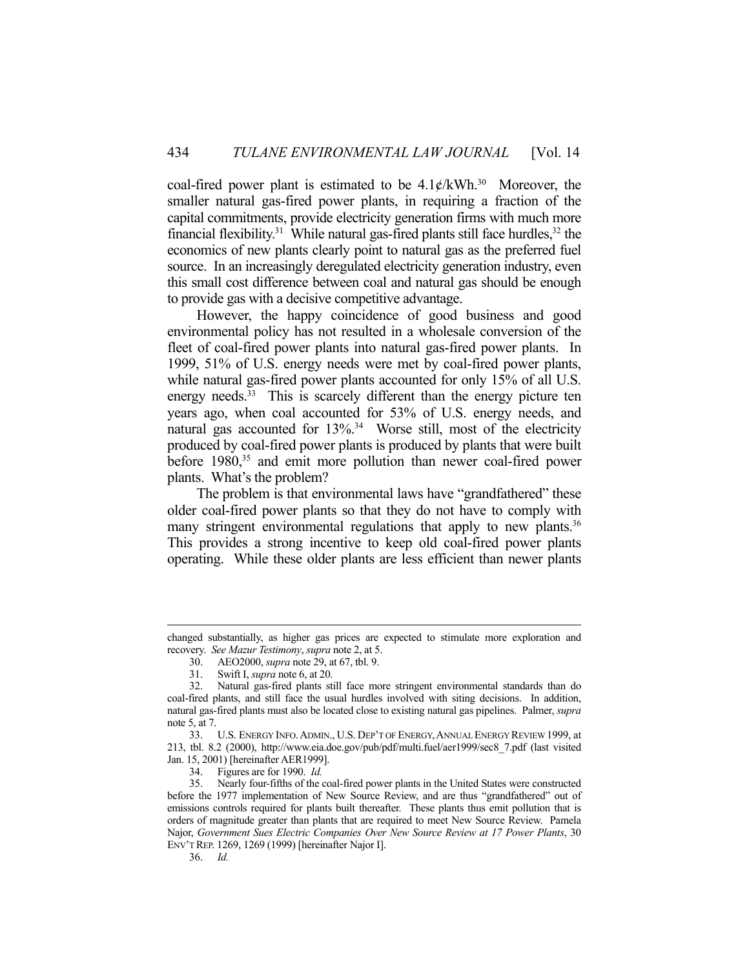coal-fired power plant is estimated to be  $4.1 \frac{\epsilon}{kWh}$ .<sup>30</sup> Moreover, the smaller natural gas-fired power plants, in requiring a fraction of the capital commitments, provide electricity generation firms with much more financial flexibility.<sup>31</sup> While natural gas-fired plants still face hurdles,<sup>32</sup> the economics of new plants clearly point to natural gas as the preferred fuel source. In an increasingly deregulated electricity generation industry, even this small cost difference between coal and natural gas should be enough to provide gas with a decisive competitive advantage.

 However, the happy coincidence of good business and good environmental policy has not resulted in a wholesale conversion of the fleet of coal-fired power plants into natural gas-fired power plants. In 1999, 51% of U.S. energy needs were met by coal-fired power plants, while natural gas-fired power plants accounted for only 15% of all U.S. energy needs. $33$  This is scarcely different than the energy picture ten years ago, when coal accounted for 53% of U.S. energy needs, and natural gas accounted for 13%.<sup>34</sup> Worse still, most of the electricity produced by coal-fired power plants is produced by plants that were built before 1980,<sup>35</sup> and emit more pollution than newer coal-fired power plants. What's the problem?

 The problem is that environmental laws have "grandfathered" these older coal-fired power plants so that they do not have to comply with many stringent environmental regulations that apply to new plants.<sup>36</sup> This provides a strong incentive to keep old coal-fired power plants operating. While these older plants are less efficient than newer plants

changed substantially, as higher gas prices are expected to stimulate more exploration and recovery. *See Mazur Testimony*, *supra* note 2, at 5.

 <sup>30.</sup> AEO2000, *supra* note 29, at 67, tbl. 9.

 <sup>31.</sup> Swift I, *supra* note 6, at 20.

 <sup>32.</sup> Natural gas-fired plants still face more stringent environmental standards than do coal-fired plants, and still face the usual hurdles involved with siting decisions. In addition, natural gas-fired plants must also be located close to existing natural gas pipelines. Palmer, *supra* note 5, at 7.

 <sup>33.</sup> U.S. ENERGY INFO.ADMIN., U.S. DEP'T OF ENERGY,ANNUAL ENERGY REVIEW 1999, at 213, tbl. 8.2 (2000), http://www.eia.doe.gov/pub/pdf/multi.fuel/aer1999/sec8\_7.pdf (last visited Jan. 15, 2001) [hereinafter AER1999].

 <sup>34.</sup> Figures are for 1990. *Id.*

 <sup>35.</sup> Nearly four-fifths of the coal-fired power plants in the United States were constructed before the 1977 implementation of New Source Review, and are thus "grandfathered" out of emissions controls required for plants built thereafter. These plants thus emit pollution that is orders of magnitude greater than plants that are required to meet New Source Review. Pamela Najor, *Government Sues Electric Companies Over New Source Review at 17 Power Plants*, 30 ENV'T REP. 1269, 1269 (1999) [hereinafter Najor I].

 <sup>36.</sup> *Id.*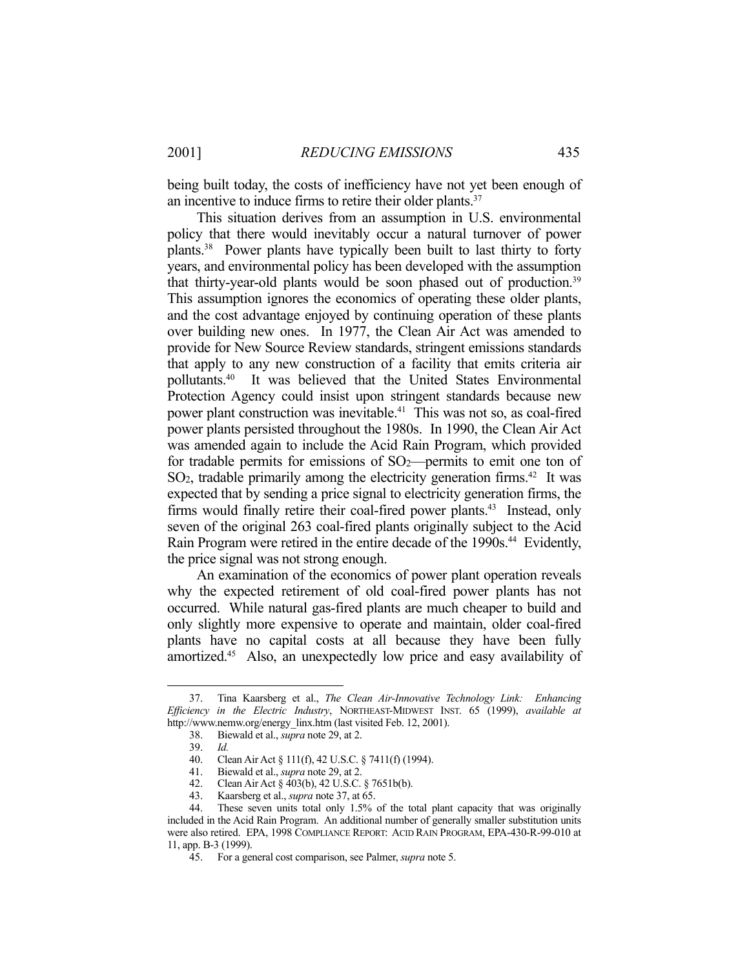being built today, the costs of inefficiency have not yet been enough of an incentive to induce firms to retire their older plants.<sup>37</sup>

 This situation derives from an assumption in U.S. environmental policy that there would inevitably occur a natural turnover of power plants.38 Power plants have typically been built to last thirty to forty years, and environmental policy has been developed with the assumption that thirty-year-old plants would be soon phased out of production.<sup>39</sup> This assumption ignores the economics of operating these older plants, and the cost advantage enjoyed by continuing operation of these plants over building new ones. In 1977, the Clean Air Act was amended to provide for New Source Review standards, stringent emissions standards that apply to any new construction of a facility that emits criteria air pollutants.40 It was believed that the United States Environmental Protection Agency could insist upon stringent standards because new power plant construction was inevitable.<sup>41</sup> This was not so, as coal-fired power plants persisted throughout the 1980s. In 1990, the Clean Air Act was amended again to include the Acid Rain Program, which provided for tradable permits for emissions of  $SO_2$ —permits to emit one ton of  $SO<sub>2</sub>$ , tradable primarily among the electricity generation firms.<sup>42</sup> It was expected that by sending a price signal to electricity generation firms, the firms would finally retire their coal-fired power plants.<sup>43</sup> Instead, only seven of the original 263 coal-fired plants originally subject to the Acid Rain Program were retired in the entire decade of the 1990s.<sup>44</sup> Evidently, the price signal was not strong enough.

 An examination of the economics of power plant operation reveals why the expected retirement of old coal-fired power plants has not occurred. While natural gas-fired plants are much cheaper to build and only slightly more expensive to operate and maintain, older coal-fired plants have no capital costs at all because they have been fully amortized.45 Also, an unexpectedly low price and easy availability of

 <sup>37.</sup> Tina Kaarsberg et al., *The Clean Air-Innovative Technology Link: Enhancing Efficiency in the Electric Industry*, NORTHEAST-MIDWEST INST. 65 (1999), *available at* http://www.nemw.org/energy\_linx.htm (last visited Feb. 12, 2001).

 <sup>38.</sup> Biewald et al., *supra* note 29, at 2.

 <sup>39.</sup> *Id.*

 <sup>40.</sup> Clean Air Act § 111(f), 42 U.S.C. § 7411(f) (1994).

 <sup>41.</sup> Biewald et al., *supra* note 29, at 2.

<sup>42.</sup> Clean Air Act  $\S$  403(b), 42 U.S.C.  $\S$  7651b(b).<br>43. Kaarsberg et al., *supra* note 37, at 65.

Kaarsberg et al., *supra* note 37, at 65.

 <sup>44.</sup> These seven units total only 1.5% of the total plant capacity that was originally included in the Acid Rain Program. An additional number of generally smaller substitution units were also retired. EPA, 1998 COMPLIANCE REPORT: ACID RAIN PROGRAM, EPA-430-R-99-010 at 11, app. B-3 (1999).

 <sup>45.</sup> For a general cost comparison, see Palmer, *supra* note 5.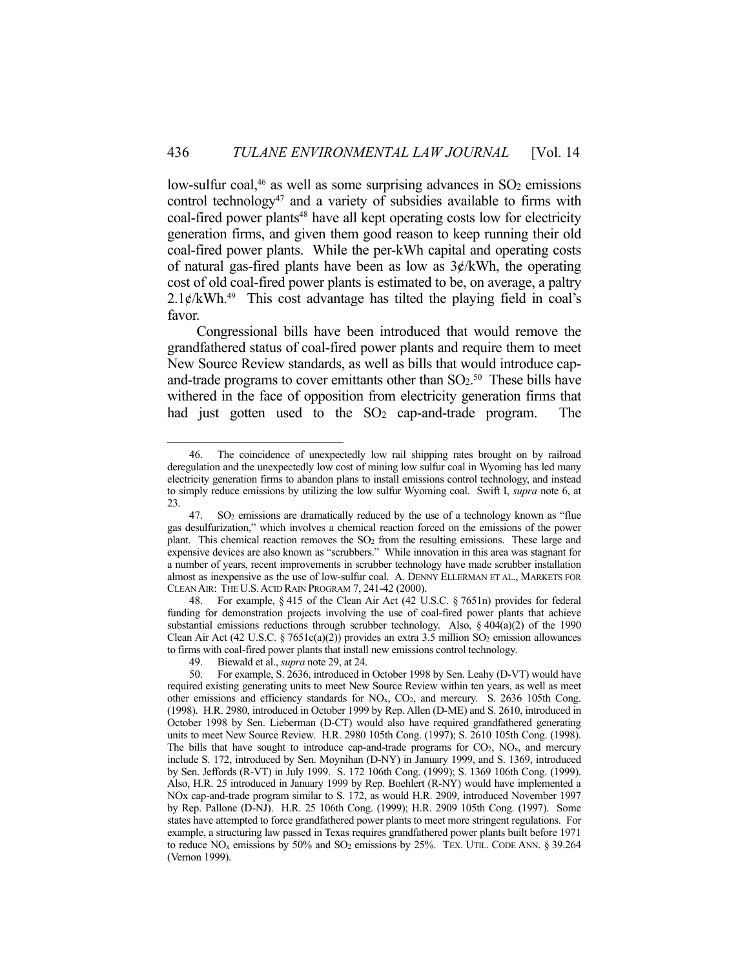low-sulfur coal, $46$  as well as some surprising advances in  $SO<sub>2</sub>$  emissions control technology<sup>47</sup> and a variety of subsidies available to firms with coal-fired power plants<sup>48</sup> have all kept operating costs low for electricity generation firms, and given them good reason to keep running their old coal-fired power plants. While the per-kWh capital and operating costs of natural gas-fired plants have been as low as  $3¢/kWh$ , the operating cost of old coal-fired power plants is estimated to be, on average, a paltry  $2.1¢/kWh.<sup>49</sup>$  This cost advantage has tilted the playing field in coal's favor.

 Congressional bills have been introduced that would remove the grandfathered status of coal-fired power plants and require them to meet New Source Review standards, as well as bills that would introduce capand-trade programs to cover emittants other than  $SO<sub>2</sub>$ .<sup>50</sup> These bills have withered in the face of opposition from electricity generation firms that had just gotten used to the  $SO<sub>2</sub>$  cap-and-trade program. The

 48. For example, § 415 of the Clean Air Act (42 U.S.C. § 7651n) provides for federal funding for demonstration projects involving the use of coal-fired power plants that achieve substantial emissions reductions through scrubber technology. Also,  $\S 404(a)(2)$  of the 1990 Clean Air Act (42 U.S.C. § 7651c(a)(2)) provides an extra 3.5 million  $SO_2$  emission allowances to firms with coal-fired power plants that install new emissions control technology.

 <sup>46.</sup> The coincidence of unexpectedly low rail shipping rates brought on by railroad deregulation and the unexpectedly low cost of mining low sulfur coal in Wyoming has led many electricity generation firms to abandon plans to install emissions control technology, and instead to simply reduce emissions by utilizing the low sulfur Wyoming coal. Swift I, *supra* note 6, at 23.

 <sup>47.</sup> SO2 emissions are dramatically reduced by the use of a technology known as "flue gas desulfurization," which involves a chemical reaction forced on the emissions of the power plant. This chemical reaction removes the SO2 from the resulting emissions. These large and expensive devices are also known as "scrubbers." While innovation in this area was stagnant for a number of years, recent improvements in scrubber technology have made scrubber installation almost as inexpensive as the use of low-sulfur coal. A. DENNY ELLERMAN ET AL., MARKETS FOR CLEAN AIR: THE U.S.ACID RAIN PROGRAM 7, 241-42 (2000).

 <sup>49.</sup> Biewald et al., *supra* note 29, at 24.

 <sup>50.</sup> For example, S. 2636, introduced in October 1998 by Sen. Leahy (D-VT) would have required existing generating units to meet New Source Review within ten years, as well as meet other emissions and efficiency standards for NOx, CO2, and mercury. S. 2636 105th Cong. (1998). H.R. 2980, introduced in October 1999 by Rep. Allen (D-ME) and S. 2610, introduced in October 1998 by Sen. Lieberman (D-CT) would also have required grandfathered generating units to meet New Source Review. H.R. 2980 105th Cong. (1997); S. 2610 105th Cong. (1998). The bills that have sought to introduce cap-and-trade programs for CO<sub>2</sub>, NO<sub>x</sub>, and mercury include S. 172, introduced by Sen. Moynihan (D-NY) in January 1999, and S. 1369, introduced by Sen. Jeffords (R-VT) in July 1999. S. 172 106th Cong. (1999); S. 1369 106th Cong. (1999). Also, H.R. 25 introduced in January 1999 by Rep. Boehlert (R-NY) would have implemented a NOx cap-and-trade program similar to S. 172, as would H.R. 2909, introduced November 1997 by Rep. Pallone (D-NJ). H.R. 25 106th Cong. (1999); H.R. 2909 105th Cong. (1997). Some states have attempted to force grandfathered power plants to meet more stringent regulations. For example, a structuring law passed in Texas requires grandfathered power plants built before 1971 to reduce  $NO<sub>x</sub>$  emissions by 50% and  $SO<sub>2</sub>$  emissions by 25%. TEX. UTIL. CODE ANN. § 39.264 (Vernon 1999).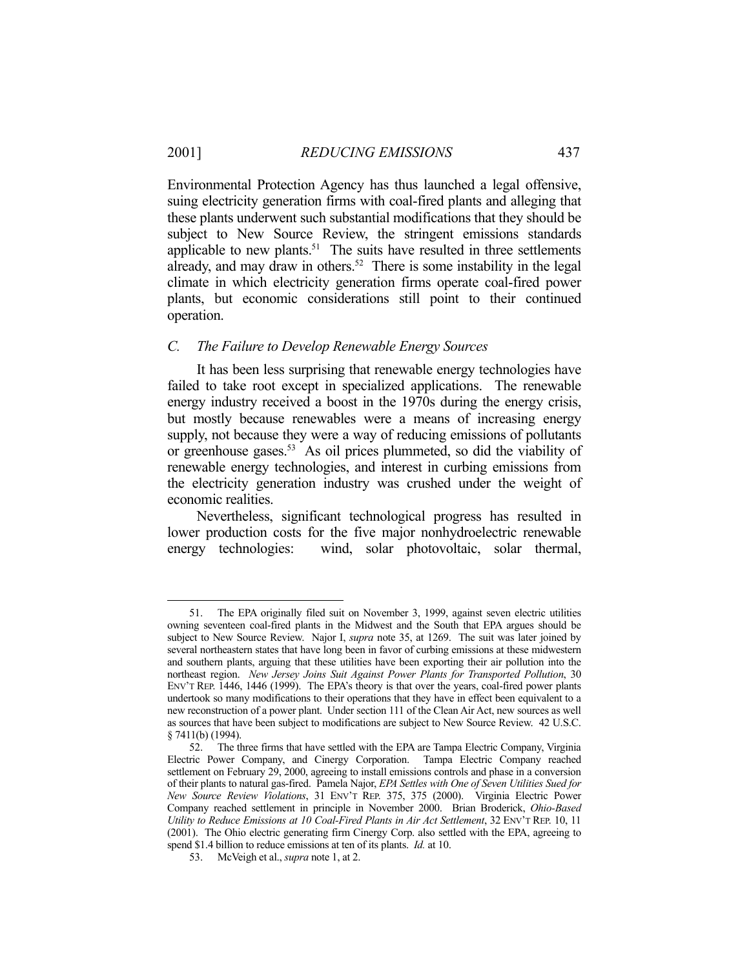Environmental Protection Agency has thus launched a legal offensive, suing electricity generation firms with coal-fired plants and alleging that these plants underwent such substantial modifications that they should be subject to New Source Review, the stringent emissions standards applicable to new plants.<sup>51</sup> The suits have resulted in three settlements  $\frac{1}{2}$  already, and may draw in others.<sup>52</sup> There is some instability in the legal climate in which electricity generation firms operate coal-fired power plants, but economic considerations still point to their continued operation.

#### *C. The Failure to Develop Renewable Energy Sources*

 It has been less surprising that renewable energy technologies have failed to take root except in specialized applications. The renewable energy industry received a boost in the 1970s during the energy crisis, but mostly because renewables were a means of increasing energy supply, not because they were a way of reducing emissions of pollutants or greenhouse gases.53 As oil prices plummeted, so did the viability of renewable energy technologies, and interest in curbing emissions from the electricity generation industry was crushed under the weight of economic realities.

 Nevertheless, significant technological progress has resulted in lower production costs for the five major nonhydroelectric renewable energy technologies: wind, solar photovoltaic, solar thermal,

 <sup>51.</sup> The EPA originally filed suit on November 3, 1999, against seven electric utilities owning seventeen coal-fired plants in the Midwest and the South that EPA argues should be subject to New Source Review. Najor I, *supra* note 35, at 1269. The suit was later joined by several northeastern states that have long been in favor of curbing emissions at these midwestern and southern plants, arguing that these utilities have been exporting their air pollution into the northeast region. *New Jersey Joins Suit Against Power Plants for Transported Pollution*, 30 ENV'T REP. 1446, 1446 (1999). The EPA's theory is that over the years, coal-fired power plants undertook so many modifications to their operations that they have in effect been equivalent to a new reconstruction of a power plant. Under section 111 of the Clean Air Act, new sources as well as sources that have been subject to modifications are subject to New Source Review. 42 U.S.C. § 7411(b) (1994).

 <sup>52.</sup> The three firms that have settled with the EPA are Tampa Electric Company, Virginia Electric Power Company, and Cinergy Corporation. Tampa Electric Company reached settlement on February 29, 2000, agreeing to install emissions controls and phase in a conversion of their plants to natural gas-fired. Pamela Najor, *EPA Settles with One of Seven Utilities Sued for New Source Review Violations*, 31 ENV'T REP. 375, 375 (2000). Virginia Electric Power Company reached settlement in principle in November 2000. Brian Broderick, *Ohio-Based Utility to Reduce Emissions at 10 Coal-Fired Plants in Air Act Settlement*, 32 ENV'T REP. 10, 11 (2001). The Ohio electric generating firm Cinergy Corp. also settled with the EPA, agreeing to spend \$1.4 billion to reduce emissions at ten of its plants. *Id.* at 10.

 <sup>53.</sup> McVeigh et al., *supra* note 1, at 2.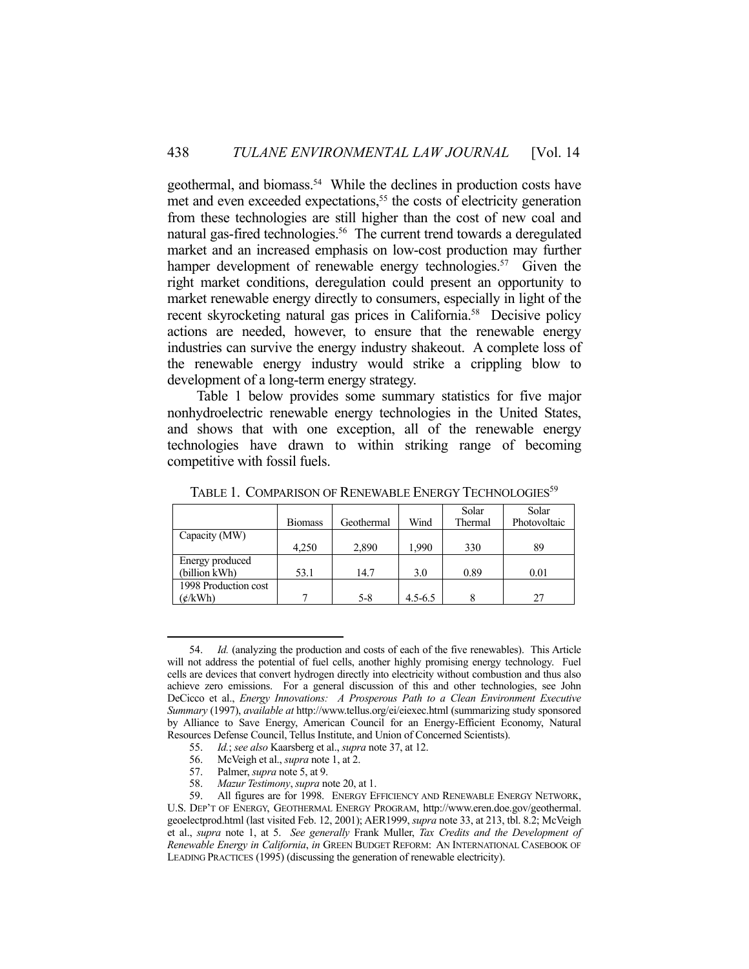geothermal, and biomass.<sup>54</sup> While the declines in production costs have met and even exceeded expectations,<sup>55</sup> the costs of electricity generation from these technologies are still higher than the cost of new coal and natural gas-fired technologies.<sup>56</sup> The current trend towards a deregulated market and an increased emphasis on low-cost production may further hamper development of renewable energy technologies.<sup>57</sup> Given the right market conditions, deregulation could present an opportunity to market renewable energy directly to consumers, especially in light of the recent skyrocketing natural gas prices in California.<sup>58</sup> Decisive policy actions are needed, however, to ensure that the renewable energy industries can survive the energy industry shakeout. A complete loss of the renewable energy industry would strike a crippling blow to development of a long-term energy strategy.

 Table 1 below provides some summary statistics for five major nonhydroelectric renewable energy technologies in the United States, and shows that with one exception, all of the renewable energy technologies have drawn to within striking range of becoming competitive with fossil fuels.

|                      | <b>Biomass</b> | Geothermal | Wind        | Solar<br>Thermal | Solar<br>Photovoltaic |
|----------------------|----------------|------------|-------------|------------------|-----------------------|
| Capacity (MW)        |                |            |             |                  |                       |
|                      | 4.250          | 2,890      | 1.990       | 330              | 89                    |
| Energy produced      |                |            |             |                  |                       |
| (billion kWh)        | 53.1           | 14.7       | 3.0         | 0.89             | 0.01                  |
| 1998 Production cost |                |            |             |                  |                       |
| ¢/kWh)               |                | 5-8        | $4.5 - 6.5$ |                  | 27                    |

TABLE 1. COMPARISON OF RENEWABLE ENERGY TECHNOLOGIES<sup>59</sup>

- 56. McVeigh et al., *supra* note 1, at 2.
- 57. Palmer, *supra* note 5, at 9.

<u>.</u>

58. *Mazur Testimony*, *supra* note 20, at 1.

 <sup>54.</sup> *Id.* (analyzing the production and costs of each of the five renewables). This Article will not address the potential of fuel cells, another highly promising energy technology. Fuel cells are devices that convert hydrogen directly into electricity without combustion and thus also achieve zero emissions. For a general discussion of this and other technologies, see John DeCicco et al., *Energy Innovations: A Prosperous Path to a Clean Environment Executive Summary* (1997), *available at* http://www.tellus.org/ei/eiexec.html (summarizing study sponsored by Alliance to Save Energy, American Council for an Energy-Efficient Economy, Natural Resources Defense Council, Tellus Institute, and Union of Concerned Scientists).

 <sup>55.</sup> *Id.*; *see also* Kaarsberg et al., *supra* note 37, at 12.

All figures are for 1998. ENERGY EFFICIENCY AND RENEWABLE ENERGY NETWORK, U.S. DEP'T OF ENERGY, GEOTHERMAL ENERGY PROGRAM, http://www.eren.doe.gov/geothermal. geoelectprod.html (last visited Feb. 12, 2001); AER1999, *supra* note 33, at 213, tbl. 8.2; McVeigh et al., *supra* note 1, at 5. *See generally* Frank Muller, *Tax Credits and the Development of Renewable Energy in California*, *in* GREEN BUDGET REFORM: AN INTERNATIONAL CASEBOOK OF LEADING PRACTICES (1995) (discussing the generation of renewable electricity).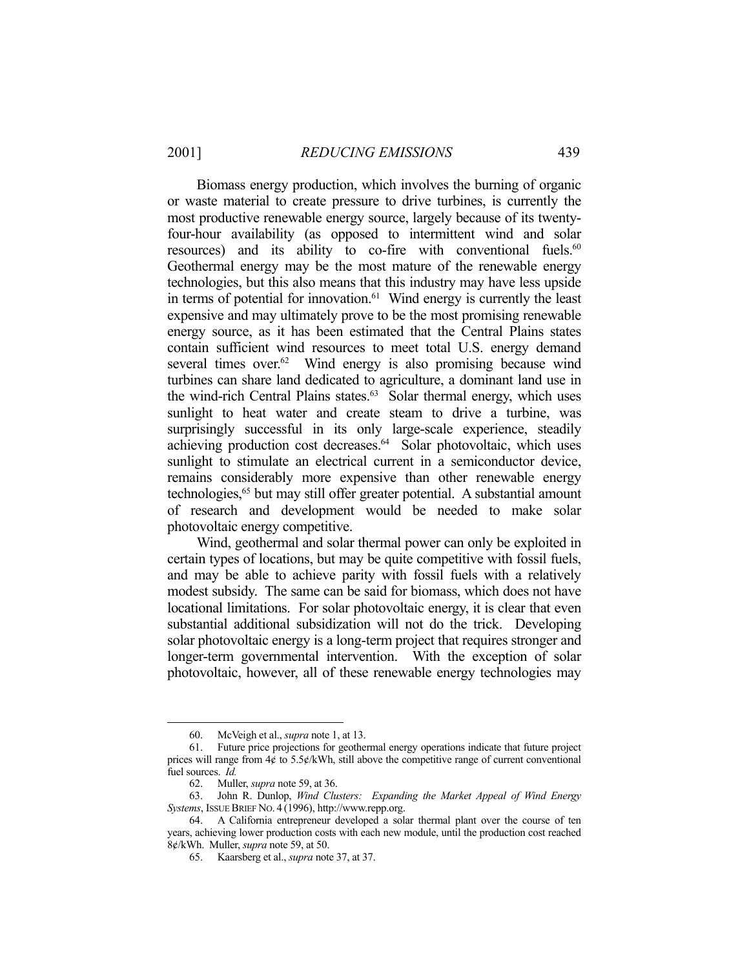Biomass energy production, which involves the burning of organic or waste material to create pressure to drive turbines, is currently the most productive renewable energy source, largely because of its twentyfour-hour availability (as opposed to intermittent wind and solar resources) and its ability to co-fire with conventional fuels.<sup>60</sup> Geothermal energy may be the most mature of the renewable energy technologies, but this also means that this industry may have less upside in terms of potential for innovation. $61$  Wind energy is currently the least expensive and may ultimately prove to be the most promising renewable energy source, as it has been estimated that the Central Plains states contain sufficient wind resources to meet total U.S. energy demand several times over.<sup>62</sup> Wind energy is also promising because wind turbines can share land dedicated to agriculture, a dominant land use in the wind-rich Central Plains states.<sup>63</sup> Solar thermal energy, which uses sunlight to heat water and create steam to drive a turbine, was surprisingly successful in its only large-scale experience, steadily achieving production cost decreases.<sup>64</sup> Solar photovoltaic, which uses sunlight to stimulate an electrical current in a semiconductor device, remains considerably more expensive than other renewable energy technologies,65 but may still offer greater potential. A substantial amount of research and development would be needed to make solar photovoltaic energy competitive.

 Wind, geothermal and solar thermal power can only be exploited in certain types of locations, but may be quite competitive with fossil fuels, and may be able to achieve parity with fossil fuels with a relatively modest subsidy. The same can be said for biomass, which does not have locational limitations. For solar photovoltaic energy, it is clear that even substantial additional subsidization will not do the trick. Developing solar photovoltaic energy is a long-term project that requires stronger and longer-term governmental intervention. With the exception of solar photovoltaic, however, all of these renewable energy technologies may

<u>.</u>

 <sup>60.</sup> McVeigh et al., *supra* note 1, at 13.

 <sup>61.</sup> Future price projections for geothermal energy operations indicate that future project prices will range from 4¢ to 5.5¢/kWh, still above the competitive range of current conventional fuel sources. *Id.*

 <sup>62.</sup> Muller, *supra* note 59, at 36.

 <sup>63.</sup> John R. Dunlop, *Wind Clusters: Expanding the Market Appeal of Wind Energy Systems*, ISSUE BRIEF NO. 4 (1996), http://www.repp.org.

 <sup>64.</sup> A California entrepreneur developed a solar thermal plant over the course of ten years, achieving lower production costs with each new module, until the production cost reached 8¢/kWh. Muller, *supra* note 59, at 50.

 <sup>65.</sup> Kaarsberg et al., *supra* note 37, at 37.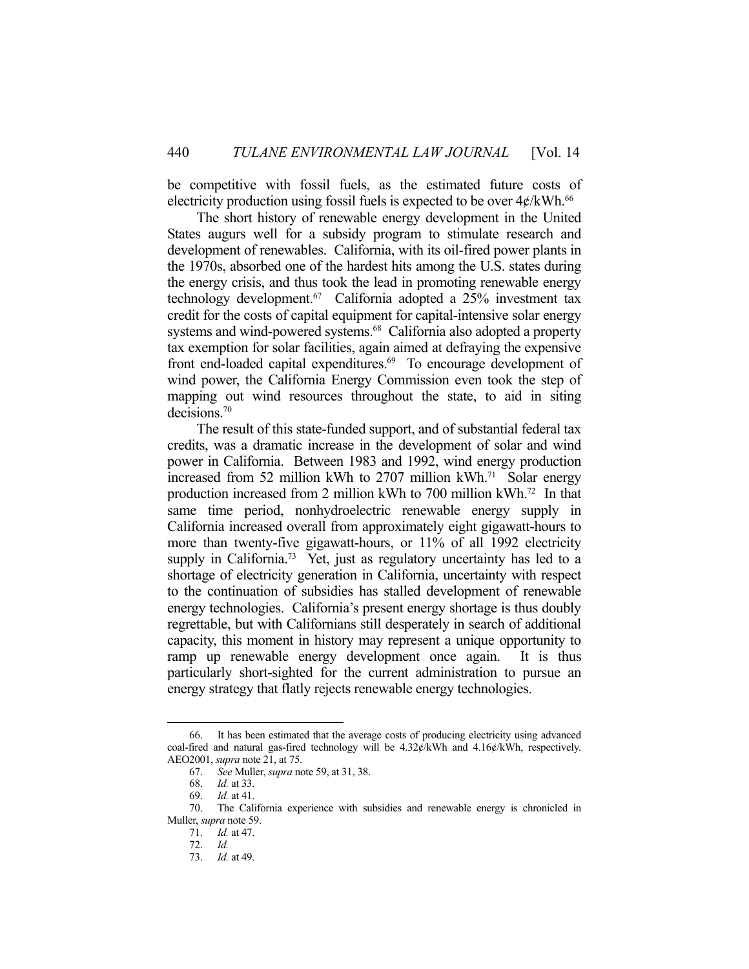be competitive with fossil fuels, as the estimated future costs of electricity production using fossil fuels is expected to be over  $4\not\in$  kWh.<sup>66</sup>

 The short history of renewable energy development in the United States augurs well for a subsidy program to stimulate research and development of renewables. California, with its oil-fired power plants in the 1970s, absorbed one of the hardest hits among the U.S. states during the energy crisis, and thus took the lead in promoting renewable energy technology development.<sup>67</sup> California adopted a 25% investment tax credit for the costs of capital equipment for capital-intensive solar energy systems and wind-powered systems.<sup>68</sup> California also adopted a property tax exemption for solar facilities, again aimed at defraying the expensive front end-loaded capital expenditures.<sup>69</sup> To encourage development of wind power, the California Energy Commission even took the step of mapping out wind resources throughout the state, to aid in siting decisions.70

 The result of this state-funded support, and of substantial federal tax credits, was a dramatic increase in the development of solar and wind power in California. Between 1983 and 1992, wind energy production increased from 52 million kWh to 2707 million kWh.<sup>71</sup> Solar energy production increased from 2 million kWh to 700 million kWh.72 In that same time period, nonhydroelectric renewable energy supply in California increased overall from approximately eight gigawatt-hours to more than twenty-five gigawatt-hours, or 11% of all 1992 electricity supply in California.<sup>73</sup> Yet, just as regulatory uncertainty has led to a shortage of electricity generation in California, uncertainty with respect to the continuation of subsidies has stalled development of renewable energy technologies. California's present energy shortage is thus doubly regrettable, but with Californians still desperately in search of additional capacity, this moment in history may represent a unique opportunity to ramp up renewable energy development once again. It is thus particularly short-sighted for the current administration to pursue an energy strategy that flatly rejects renewable energy technologies.

<u>.</u>

 <sup>66.</sup> It has been estimated that the average costs of producing electricity using advanced coal-fired and natural gas-fired technology will be 4.32¢/kWh and 4.16¢/kWh, respectively. AEO2001, *supra* note 21, at 75.

 <sup>67.</sup> *See* Muller, *supra* note 59, at 31, 38.

 <sup>68.</sup> *Id.* at 33.

 <sup>69.</sup> *Id.* at 41.

 <sup>70.</sup> The California experience with subsidies and renewable energy is chronicled in Muller, *supra* note 59.

 <sup>71.</sup> *Id.* at 47.

 <sup>72.</sup> *Id.*

 <sup>73.</sup> *Id.* at 49.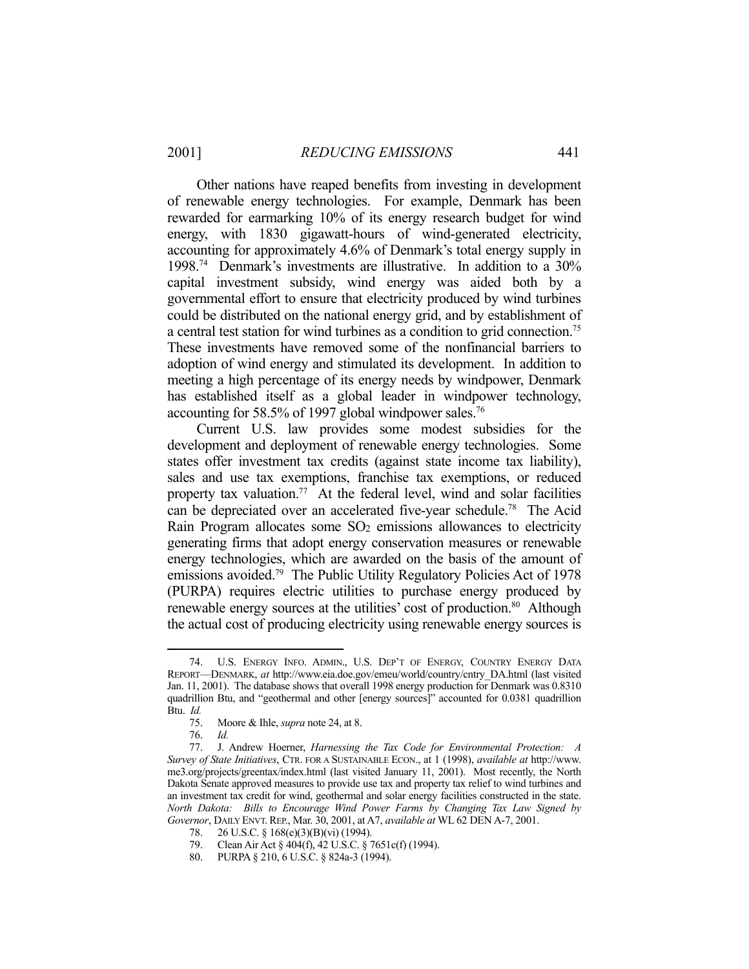Other nations have reaped benefits from investing in development of renewable energy technologies. For example, Denmark has been rewarded for earmarking 10% of its energy research budget for wind energy, with 1830 gigawatt-hours of wind-generated electricity, accounting for approximately 4.6% of Denmark's total energy supply in 1998.74 Denmark's investments are illustrative. In addition to a 30% capital investment subsidy, wind energy was aided both by a governmental effort to ensure that electricity produced by wind turbines could be distributed on the national energy grid, and by establishment of a central test station for wind turbines as a condition to grid connection.75 These investments have removed some of the nonfinancial barriers to adoption of wind energy and stimulated its development. In addition to meeting a high percentage of its energy needs by windpower, Denmark has established itself as a global leader in windpower technology, accounting for 58.5% of 1997 global windpower sales.<sup>76</sup>

 Current U.S. law provides some modest subsidies for the development and deployment of renewable energy technologies. Some states offer investment tax credits (against state income tax liability), sales and use tax exemptions, franchise tax exemptions, or reduced property tax valuation.<sup>77</sup> At the federal level, wind and solar facilities can be depreciated over an accelerated five-year schedule.78 The Acid Rain Program allocates some SO2 emissions allowances to electricity generating firms that adopt energy conservation measures or renewable energy technologies, which are awarded on the basis of the amount of emissions avoided.<sup>79</sup> The Public Utility Regulatory Policies Act of 1978 (PURPA) requires electric utilities to purchase energy produced by renewable energy sources at the utilities' cost of production.<sup>80</sup> Although the actual cost of producing electricity using renewable energy sources is

 <sup>74.</sup> U.S. ENERGY INFO. ADMIN., U.S. DEP'T OF ENERGY, COUNTRY ENERGY DATA REPORT—DENMARK, *at* http://www.eia.doe.gov/emeu/world/country/cntry\_DA.html (last visited Jan. 11, 2001). The database shows that overall 1998 energy production for Denmark was 0.8310 quadrillion Btu, and "geothermal and other [energy sources]" accounted for 0.0381 quadrillion Btu. *Id.*

 <sup>75.</sup> Moore & Ihle, *supra* note 24, at 8.

 <sup>76.</sup> *Id.*

 <sup>77.</sup> J. Andrew Hoerner, *Harnessing the Tax Code for Environmental Protection: A Survey of State Initiatives*, CTR. FOR A SUSTAINABLE ECON., at 1 (1998), *available at* http://www. me3.org/projects/greentax/index.html (last visited January 11, 2001). Most recently, the North Dakota Senate approved measures to provide use tax and property tax relief to wind turbines and an investment tax credit for wind, geothermal and solar energy facilities constructed in the state. *North Dakota: Bills to Encourage Wind Power Farms by Changing Tax Law Signed by Governor*, DAILY ENVT. REP., Mar. 30, 2001, at A7, *available at* WL 62 DEN A-7, 2001.

<sup>78. 26</sup> U.S.C. § 168(e)(3)(B)(vi) (1994).

 <sup>79.</sup> Clean Air Act § 404(f), 42 U.S.C. § 7651c(f) (1994).

 <sup>80.</sup> PURPA § 210, 6 U.S.C. § 824a-3 (1994).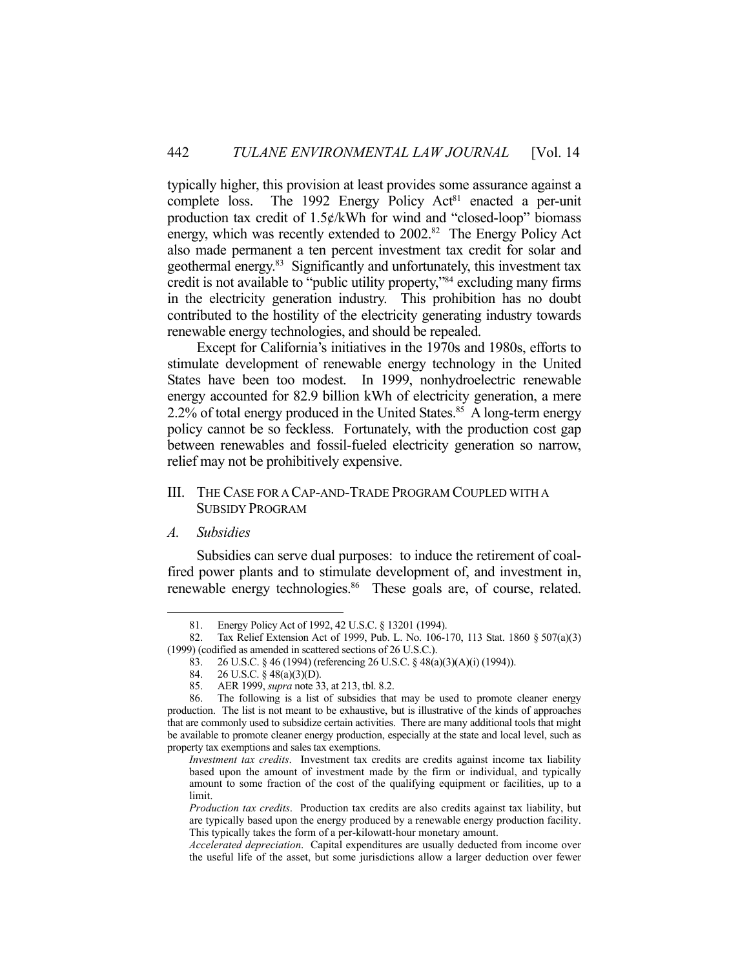typically higher, this provision at least provides some assurance against a complete loss. The 1992 Energy Policy  $Act<sup>81</sup>$  enacted a per-unit production tax credit of  $1.5¢/kWh$  for wind and "closed-loop" biomass energy, which was recently extended to 2002.<sup>82</sup> The Energy Policy Act also made permanent a ten percent investment tax credit for solar and geothermal energy.83 Significantly and unfortunately, this investment tax credit is not available to "public utility property,"84 excluding many firms in the electricity generation industry. This prohibition has no doubt contributed to the hostility of the electricity generating industry towards renewable energy technologies, and should be repealed.

 Except for California's initiatives in the 1970s and 1980s, efforts to stimulate development of renewable energy technology in the United States have been too modest. In 1999, nonhydroelectric renewable energy accounted for 82.9 billion kWh of electricity generation, a mere 2.2% of total energy produced in the United States.<sup>85</sup> A long-term energy policy cannot be so feckless. Fortunately, with the production cost gap between renewables and fossil-fueled electricity generation so narrow, relief may not be prohibitively expensive.

## III. THE CASE FOR A CAP-AND-TRADE PROGRAM COUPLED WITH A SUBSIDY PROGRAM

#### *A. Subsidies*

1

 Subsidies can serve dual purposes: to induce the retirement of coalfired power plants and to stimulate development of, and investment in, renewable energy technologies.<sup>86</sup> These goals are, of course, related.

 <sup>81.</sup> Energy Policy Act of 1992, 42 U.S.C. § 13201 (1994).

 <sup>82.</sup> Tax Relief Extension Act of 1999, Pub. L. No. 106-170, 113 Stat. 1860 § 507(a)(3) (1999) (codified as amended in scattered sections of 26 U.S.C.).

 <sup>83. 26</sup> U.S.C. § 46 (1994) (referencing 26 U.S.C. § 48(a)(3)(A)(i) (1994)).

 <sup>84. 26</sup> U.S.C. § 48(a)(3)(D).

 <sup>85.</sup> AER 1999, *supra* note 33, at 213, tbl. 8.2.

The following is a list of subsidies that may be used to promote cleaner energy production. The list is not meant to be exhaustive, but is illustrative of the kinds of approaches that are commonly used to subsidize certain activities. There are many additional tools that might be available to promote cleaner energy production, especially at the state and local level, such as property tax exemptions and sales tax exemptions.

*Investment tax credits*. Investment tax credits are credits against income tax liability based upon the amount of investment made by the firm or individual, and typically amount to some fraction of the cost of the qualifying equipment or facilities, up to a limit.

*Production tax credits*. Production tax credits are also credits against tax liability, but are typically based upon the energy produced by a renewable energy production facility. This typically takes the form of a per-kilowatt-hour monetary amount.

*Accelerated depreciation*. Capital expenditures are usually deducted from income over the useful life of the asset, but some jurisdictions allow a larger deduction over fewer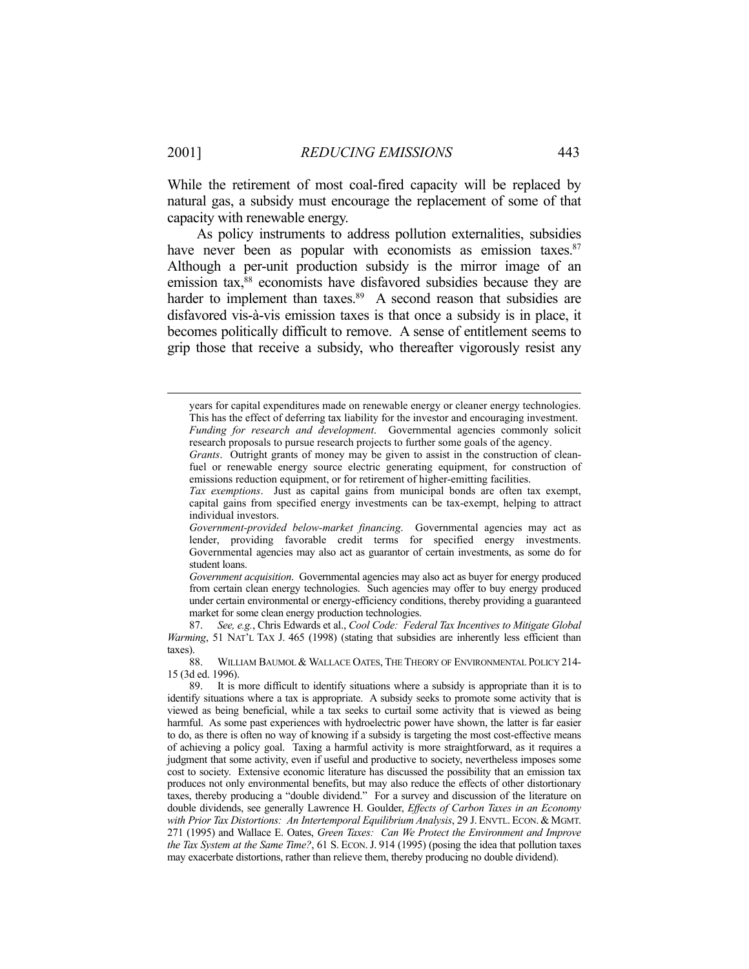While the retirement of most coal-fired capacity will be replaced by natural gas, a subsidy must encourage the replacement of some of that capacity with renewable energy.

 As policy instruments to address pollution externalities, subsidies have never been as popular with economists as emission taxes.<sup>87</sup> Although a per-unit production subsidy is the mirror image of an emission tax,<sup>88</sup> economists have disfavored subsidies because they are harder to implement than taxes.<sup>89</sup> A second reason that subsidies are disfavored vis-à-vis emission taxes is that once a subsidy is in place, it becomes politically difficult to remove. A sense of entitlement seems to grip those that receive a subsidy, who thereafter vigorously resist any

years for capital expenditures made on renewable energy or cleaner energy technologies. This has the effect of deferring tax liability for the investor and encouraging investment.  *Funding for research and development*. Governmental agencies commonly solicit research proposals to pursue research projects to further some goals of the agency.

*Grants*. Outright grants of money may be given to assist in the construction of cleanfuel or renewable energy source electric generating equipment, for construction of emissions reduction equipment, or for retirement of higher-emitting facilities.

*Tax exemptions*. Just as capital gains from municipal bonds are often tax exempt, capital gains from specified energy investments can be tax-exempt, helping to attract individual investors.

*Government-provided below-market financing*. Governmental agencies may act as lender, providing favorable credit terms for specified energy investments. Governmental agencies may also act as guarantor of certain investments, as some do for student loans.

*Government acquisition*. Governmental agencies may also act as buyer for energy produced from certain clean energy technologies. Such agencies may offer to buy energy produced under certain environmental or energy-efficiency conditions, thereby providing a guaranteed market for some clean energy production technologies.

 <sup>87.</sup> *See, e.g.*, Chris Edwards et al., *Cool Code: Federal Tax Incentives to Mitigate Global Warming*, 51 NAT'L TAX J. 465 (1998) (stating that subsidies are inherently less efficient than taxes).

 <sup>88.</sup> WILLIAM BAUMOL & WALLACE OATES, THE THEORY OF ENVIRONMENTAL POLICY 214- 15 (3d ed. 1996).

 <sup>89.</sup> It is more difficult to identify situations where a subsidy is appropriate than it is to identify situations where a tax is appropriate. A subsidy seeks to promote some activity that is viewed as being beneficial, while a tax seeks to curtail some activity that is viewed as being harmful. As some past experiences with hydroelectric power have shown, the latter is far easier to do, as there is often no way of knowing if a subsidy is targeting the most cost-effective means of achieving a policy goal. Taxing a harmful activity is more straightforward, as it requires a judgment that some activity, even if useful and productive to society, nevertheless imposes some cost to society. Extensive economic literature has discussed the possibility that an emission tax produces not only environmental benefits, but may also reduce the effects of other distortionary taxes, thereby producing a "double dividend." For a survey and discussion of the literature on double dividends, see generally Lawrence H. Goulder, *Effects of Carbon Taxes in an Economy with Prior Tax Distortions: An Intertemporal Equilibrium Analysis*, 29 J. ENVTL. ECON. & MGMT. 271 (1995) and Wallace E. Oates, *Green Taxes: Can We Protect the Environment and Improve the Tax System at the Same Time?*, 61 S. ECON. J. 914 (1995) (posing the idea that pollution taxes may exacerbate distortions, rather than relieve them, thereby producing no double dividend).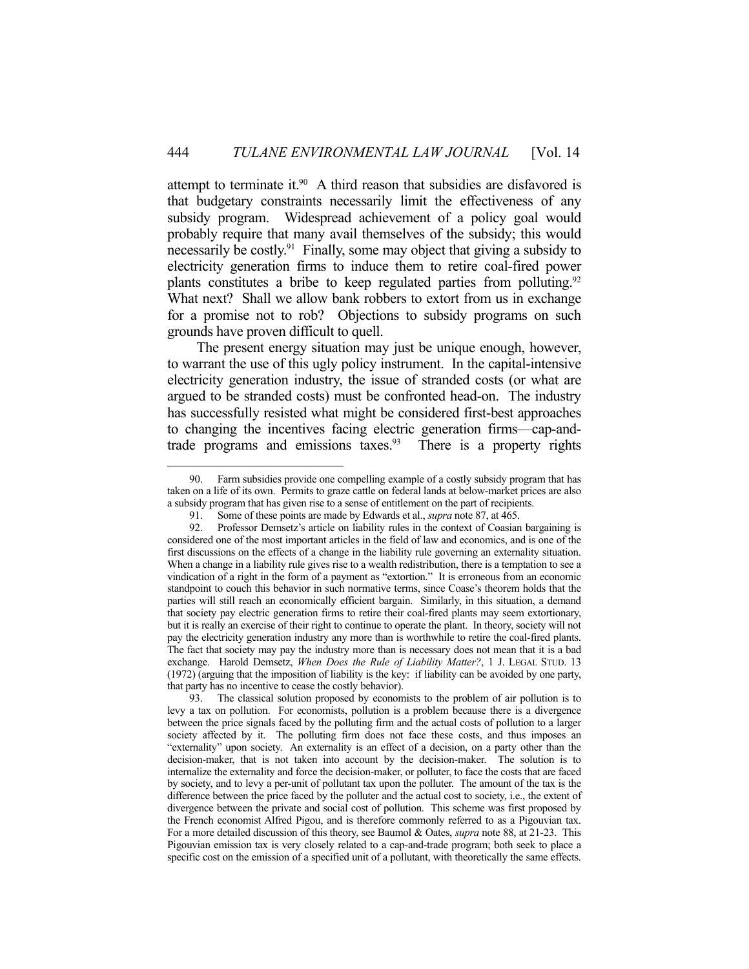attempt to terminate it.<sup>90</sup> A third reason that subsidies are disfavored is that budgetary constraints necessarily limit the effectiveness of any subsidy program. Widespread achievement of a policy goal would probably require that many avail themselves of the subsidy; this would necessarily be costly.91 Finally, some may object that giving a subsidy to electricity generation firms to induce them to retire coal-fired power plants constitutes a bribe to keep regulated parties from polluting.<sup>92</sup> What next? Shall we allow bank robbers to extort from us in exchange for a promise not to rob? Objections to subsidy programs on such grounds have proven difficult to quell.

 The present energy situation may just be unique enough, however, to warrant the use of this ugly policy instrument. In the capital-intensive electricity generation industry, the issue of stranded costs (or what are argued to be stranded costs) must be confronted head-on. The industry has successfully resisted what might be considered first-best approaches to changing the incentives facing electric generation firms—cap-andtrade programs and emissions taxes. $93$  There is a property rights

<u>.</u>

 <sup>90.</sup> Farm subsidies provide one compelling example of a costly subsidy program that has taken on a life of its own. Permits to graze cattle on federal lands at below-market prices are also a subsidy program that has given rise to a sense of entitlement on the part of recipients.

 <sup>91.</sup> Some of these points are made by Edwards et al., *supra* note 87, at 465.

 <sup>92.</sup> Professor Demsetz's article on liability rules in the context of Coasian bargaining is considered one of the most important articles in the field of law and economics, and is one of the first discussions on the effects of a change in the liability rule governing an externality situation. When a change in a liability rule gives rise to a wealth redistribution, there is a temptation to see a vindication of a right in the form of a payment as "extortion." It is erroneous from an economic standpoint to couch this behavior in such normative terms, since Coase's theorem holds that the parties will still reach an economically efficient bargain. Similarly, in this situation, a demand that society pay electric generation firms to retire their coal-fired plants may seem extortionary, but it is really an exercise of their right to continue to operate the plant. In theory, society will not pay the electricity generation industry any more than is worthwhile to retire the coal-fired plants. The fact that society may pay the industry more than is necessary does not mean that it is a bad exchange. Harold Demsetz, *When Does the Rule of Liability Matter?*, 1 J. LEGAL STUD. 13 (1972) (arguing that the imposition of liability is the key: if liability can be avoided by one party, that party has no incentive to cease the costly behavior).

 <sup>93.</sup> The classical solution proposed by economists to the problem of air pollution is to levy a tax on pollution. For economists, pollution is a problem because there is a divergence between the price signals faced by the polluting firm and the actual costs of pollution to a larger society affected by it. The polluting firm does not face these costs, and thus imposes an "externality" upon society. An externality is an effect of a decision, on a party other than the decision-maker, that is not taken into account by the decision-maker. The solution is to internalize the externality and force the decision-maker, or polluter, to face the costs that are faced by society, and to levy a per-unit of pollutant tax upon the polluter. The amount of the tax is the difference between the price faced by the polluter and the actual cost to society, i.e., the extent of divergence between the private and social cost of pollution. This scheme was first proposed by the French economist Alfred Pigou, and is therefore commonly referred to as a Pigouvian tax. For a more detailed discussion of this theory, see Baumol & Oates, *supra* note 88, at 21-23. This Pigouvian emission tax is very closely related to a cap-and-trade program; both seek to place a specific cost on the emission of a specified unit of a pollutant, with theoretically the same effects.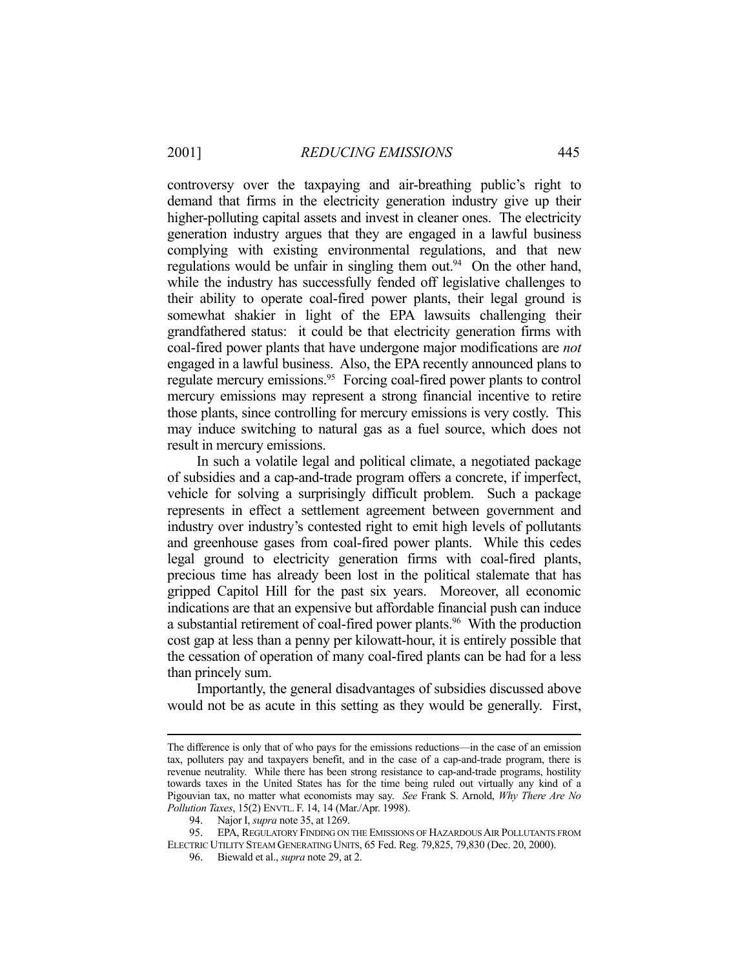controversy over the taxpaying and air-breathing public's right to demand that firms in the electricity generation industry give up their higher-polluting capital assets and invest in cleaner ones. The electricity generation industry argues that they are engaged in a lawful business complying with existing environmental regulations, and that new regulations would be unfair in singling them out.<sup>94</sup> On the other hand, while the industry has successfully fended off legislative challenges to their ability to operate coal-fired power plants, their legal ground is somewhat shakier in light of the EPA lawsuits challenging their grandfathered status: it could be that electricity generation firms with coal-fired power plants that have undergone major modifications are *not* engaged in a lawful business. Also, the EPA recently announced plans to regulate mercury emissions.<sup>95</sup> Forcing coal-fired power plants to control mercury emissions may represent a strong financial incentive to retire those plants, since controlling for mercury emissions is very costly. This may induce switching to natural gas as a fuel source, which does not result in mercury emissions.

 In such a volatile legal and political climate, a negotiated package of subsidies and a cap-and-trade program offers a concrete, if imperfect, vehicle for solving a surprisingly difficult problem. Such a package represents in effect a settlement agreement between government and industry over industry's contested right to emit high levels of pollutants and greenhouse gases from coal-fired power plants. While this cedes legal ground to electricity generation firms with coal-fired plants, precious time has already been lost in the political stalemate that has gripped Capitol Hill for the past six years. Moreover, all economic indications are that an expensive but affordable financial push can induce a substantial retirement of coal-fired power plants.<sup>96</sup> With the production cost gap at less than a penny per kilowatt-hour, it is entirely possible that the cessation of operation of many coal-fired plants can be had for a less than princely sum.

 Importantly, the general disadvantages of subsidies discussed above would not be as acute in this setting as they would be generally. First,

The difference is only that of who pays for the emissions reductions—in the case of an emission tax, polluters pay and taxpayers benefit, and in the case of a cap-and-trade program, there is revenue neutrality. While there has been strong resistance to cap-and-trade programs, hostility towards taxes in the United States has for the time being ruled out virtually any kind of a Pigouvian tax, no matter what economists may say. *See* Frank S. Arnold, *Why There Are No Pollution Taxes*, 15(2) ENVTL. F. 14, 14 (Mar./Apr. 1998).

 <sup>94.</sup> Najor I, *supra* note 35, at 1269.

 <sup>95.</sup> EPA, REGULATORY FINDING ON THE EMISSIONS OF HAZARDOUS AIR POLLUTANTS FROM ELECTRIC UTILITY STEAM GENERATING UNITS, 65 Fed. Reg. 79,825, 79,830 (Dec. 20, 2000).

 <sup>96.</sup> Biewald et al., *supra* note 29, at 2.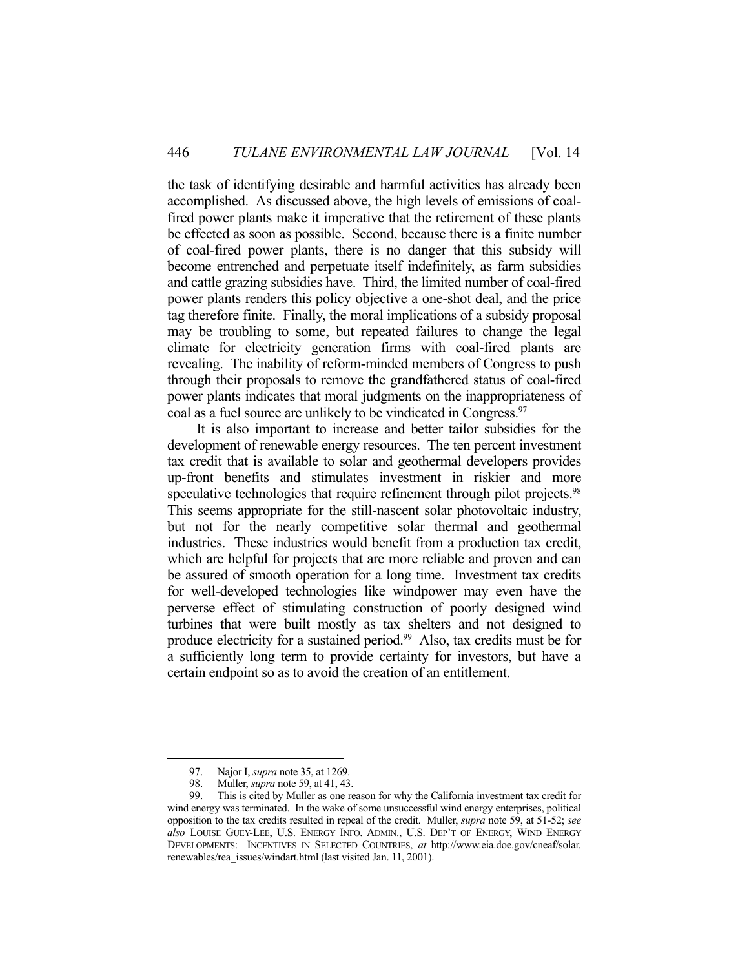the task of identifying desirable and harmful activities has already been accomplished. As discussed above, the high levels of emissions of coalfired power plants make it imperative that the retirement of these plants be effected as soon as possible. Second, because there is a finite number of coal-fired power plants, there is no danger that this subsidy will become entrenched and perpetuate itself indefinitely, as farm subsidies and cattle grazing subsidies have. Third, the limited number of coal-fired power plants renders this policy objective a one-shot deal, and the price tag therefore finite. Finally, the moral implications of a subsidy proposal may be troubling to some, but repeated failures to change the legal climate for electricity generation firms with coal-fired plants are revealing. The inability of reform-minded members of Congress to push through their proposals to remove the grandfathered status of coal-fired power plants indicates that moral judgments on the inappropriateness of coal as a fuel source are unlikely to be vindicated in Congress. 97

 It is also important to increase and better tailor subsidies for the development of renewable energy resources. The ten percent investment tax credit that is available to solar and geothermal developers provides up-front benefits and stimulates investment in riskier and more speculative technologies that require refinement through pilot projects.<sup>98</sup> This seems appropriate for the still-nascent solar photovoltaic industry, but not for the nearly competitive solar thermal and geothermal industries. These industries would benefit from a production tax credit, which are helpful for projects that are more reliable and proven and can be assured of smooth operation for a long time. Investment tax credits for well-developed technologies like windpower may even have the perverse effect of stimulating construction of poorly designed wind turbines that were built mostly as tax shelters and not designed to produce electricity for a sustained period.<sup>99</sup> Also, tax credits must be for a sufficiently long term to provide certainty for investors, but have a certain endpoint so as to avoid the creation of an entitlement.

<u>.</u>

 <sup>97.</sup> Najor I, *supra* note 35, at 1269.

<sup>98.</sup> Muller, *supra* note 59, at 41, 43.<br>99. This is cited by Muller as one re

This is cited by Muller as one reason for why the California investment tax credit for wind energy was terminated. In the wake of some unsuccessful wind energy enterprises, political opposition to the tax credits resulted in repeal of the credit. Muller, *supra* note 59, at 51-52; *see also* LOUISE GUEY-LEE, U.S. ENERGY INFO. ADMIN., U.S. DEP'T OF ENERGY, WIND ENERGY DEVELOPMENTS: INCENTIVES IN SELECTED COUNTRIES, *at* http://www.eia.doe.gov/cneaf/solar. renewables/rea\_issues/windart.html (last visited Jan. 11, 2001).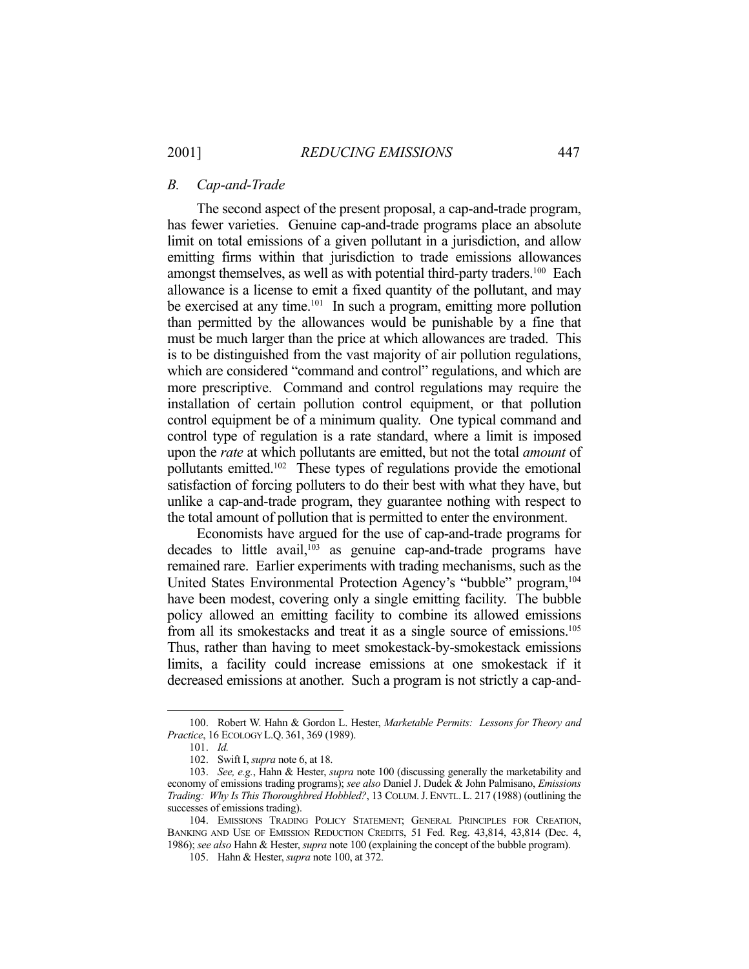#### *B. Cap-and-Trade*

 The second aspect of the present proposal, a cap-and-trade program, has fewer varieties. Genuine cap-and-trade programs place an absolute limit on total emissions of a given pollutant in a jurisdiction, and allow emitting firms within that jurisdiction to trade emissions allowances amongst themselves, as well as with potential third-party traders.<sup>100</sup> Each allowance is a license to emit a fixed quantity of the pollutant, and may be exercised at any time.<sup>101</sup> In such a program, emitting more pollution than permitted by the allowances would be punishable by a fine that must be much larger than the price at which allowances are traded. This is to be distinguished from the vast majority of air pollution regulations, which are considered "command and control" regulations, and which are more prescriptive. Command and control regulations may require the installation of certain pollution control equipment, or that pollution control equipment be of a minimum quality. One typical command and control type of regulation is a rate standard, where a limit is imposed upon the *rate* at which pollutants are emitted, but not the total *amount* of pollutants emitted.102 These types of regulations provide the emotional satisfaction of forcing polluters to do their best with what they have, but unlike a cap-and-trade program, they guarantee nothing with respect to the total amount of pollution that is permitted to enter the environment.

 Economists have argued for the use of cap-and-trade programs for decades to little avail, $103$  as genuine cap-and-trade programs have remained rare. Earlier experiments with trading mechanisms, such as the United States Environmental Protection Agency's "bubble" program,<sup>104</sup> have been modest, covering only a single emitting facility. The bubble policy allowed an emitting facility to combine its allowed emissions from all its smokestacks and treat it as a single source of emissions.105 Thus, rather than having to meet smokestack-by-smokestack emissions limits, a facility could increase emissions at one smokestack if it decreased emissions at another. Such a program is not strictly a cap-and-

 <sup>100.</sup> Robert W. Hahn & Gordon L. Hester, *Marketable Permits: Lessons for Theory and Practice*, 16 ECOLOGY L.Q. 361, 369 (1989).

 <sup>101.</sup> *Id.*

 <sup>102.</sup> Swift I, *supra* note 6, at 18.

 <sup>103.</sup> *See, e.g.*, Hahn & Hester, *supra* note 100 (discussing generally the marketability and economy of emissions trading programs); *see also* Daniel J. Dudek & John Palmisano, *Emissions Trading: Why Is This Thoroughbred Hobbled?*, 13 COLUM.J. ENVTL. L. 217 (1988) (outlining the successes of emissions trading).

 <sup>104.</sup> EMISSIONS TRADING POLICY STATEMENT; GENERAL PRINCIPLES FOR CREATION, BANKING AND USE OF EMISSION REDUCTION CREDITS, 51 Fed. Reg. 43,814, 43,814 (Dec. 4, 1986); *see also* Hahn & Hester, *supra* note 100 (explaining the concept of the bubble program).

 <sup>105.</sup> Hahn & Hester, *supra* note 100, at 372.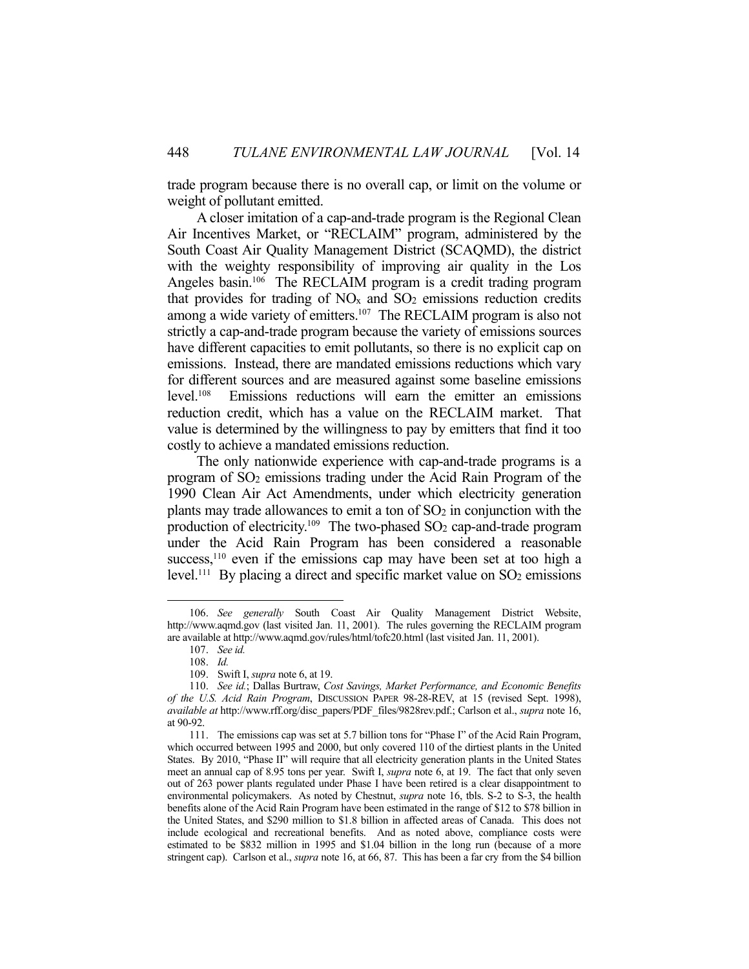trade program because there is no overall cap, or limit on the volume or weight of pollutant emitted.

 A closer imitation of a cap-and-trade program is the Regional Clean Air Incentives Market, or "RECLAIM" program, administered by the South Coast Air Quality Management District (SCAQMD), the district with the weighty responsibility of improving air quality in the Los Angeles basin.<sup>106</sup> The RECLAIM program is a credit trading program that provides for trading of  $NO<sub>x</sub>$  and  $SO<sub>2</sub>$  emissions reduction credits among a wide variety of emitters.<sup>107</sup> The RECLAIM program is also not strictly a cap-and-trade program because the variety of emissions sources have different capacities to emit pollutants, so there is no explicit cap on emissions. Instead, there are mandated emissions reductions which vary for different sources and are measured against some baseline emissions level.108 Emissions reductions will earn the emitter an emissions reduction credit, which has a value on the RECLAIM market. That value is determined by the willingness to pay by emitters that find it too costly to achieve a mandated emissions reduction.

 The only nationwide experience with cap-and-trade programs is a program of SO2 emissions trading under the Acid Rain Program of the 1990 Clean Air Act Amendments, under which electricity generation plants may trade allowances to emit a ton of  $SO<sub>2</sub>$  in conjunction with the production of electricity.<sup>109</sup> The two-phased SO<sub>2</sub> cap-and-trade program under the Acid Rain Program has been considered a reasonable success,<sup>110</sup> even if the emissions cap may have been set at too high a level.<sup>111</sup> By placing a direct and specific market value on SO<sub>2</sub> emissions

 <sup>106.</sup> *See generally* South Coast Air Quality Management District Website, http://www.aqmd.gov (last visited Jan. 11, 2001). The rules governing the RECLAIM program are available at http://www.aqmd.gov/rules/html/tofc20.html (last visited Jan. 11, 2001).

 <sup>107.</sup> *See id.* 

 <sup>108.</sup> *Id.*

 <sup>109.</sup> Swift I, *supra* note 6, at 19.

 <sup>110.</sup> *See id.*; Dallas Burtraw, *Cost Savings, Market Performance, and Economic Benefits of the U.S. Acid Rain Program*, DISCUSSION PAPER 98-28-REV, at 15 (revised Sept. 1998), *available at* http://www.rff.org/disc\_papers/PDF\_files/9828rev.pdf.; Carlson et al., *supra* note 16, at 90-92.

 <sup>111.</sup> The emissions cap was set at 5.7 billion tons for "Phase I" of the Acid Rain Program, which occurred between 1995 and 2000, but only covered 110 of the dirtiest plants in the United States. By 2010, "Phase II" will require that all electricity generation plants in the United States meet an annual cap of 8.95 tons per year. Swift I, *supra* note 6, at 19. The fact that only seven out of 263 power plants regulated under Phase I have been retired is a clear disappointment to environmental policymakers. As noted by Chestnut, *supra* note 16, tbls. S-2 to S-3, the health benefits alone of the Acid Rain Program have been estimated in the range of \$12 to \$78 billion in the United States, and \$290 million to \$1.8 billion in affected areas of Canada. This does not include ecological and recreational benefits. And as noted above, compliance costs were estimated to be \$832 million in 1995 and \$1.04 billion in the long run (because of a more stringent cap). Carlson et al., *supra* note 16, at 66, 87. This has been a far cry from the \$4 billion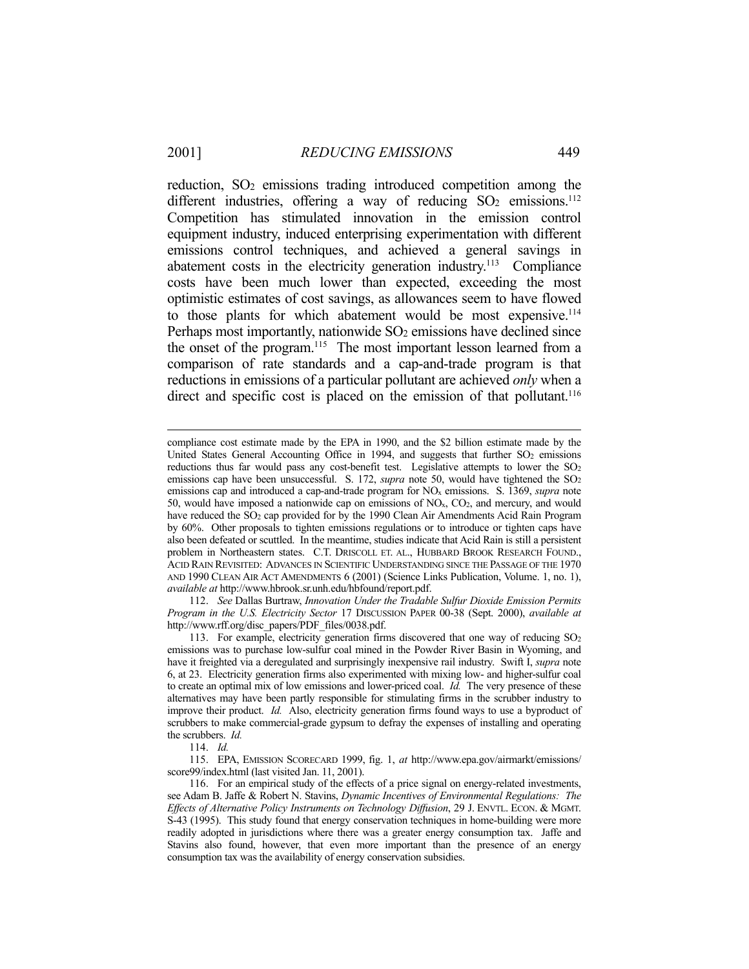reduction, SO<sub>2</sub> emissions trading introduced competition among the different industries, offering a way of reducing  $SO_2$  emissions.<sup>112</sup> Competition has stimulated innovation in the emission control equipment industry, induced enterprising experimentation with different emissions control techniques, and achieved a general savings in abatement costs in the electricity generation industry.<sup>113</sup> Compliance costs have been much lower than expected, exceeding the most optimistic estimates of cost savings, as allowances seem to have flowed to those plants for which abatement would be most expensive.<sup>114</sup> Perhaps most importantly, nationwide  $SO<sub>2</sub>$  emissions have declined since the onset of the program.<sup>115</sup> The most important lesson learned from a comparison of rate standards and a cap-and-trade program is that reductions in emissions of a particular pollutant are achieved *only* when a direct and specific cost is placed on the emission of that pollutant.<sup>116</sup>

 112. *See* Dallas Burtraw, *Innovation Under the Tradable Sulfur Dioxide Emission Permits Program in the U.S. Electricity Sector* 17 DISCUSSION PAPER 00-38 (Sept. 2000), *available at*  http://www.rff.org/disc\_papers/PDF\_files/0038.pdf.

compliance cost estimate made by the EPA in 1990, and the \$2 billion estimate made by the United States General Accounting Office in 1994, and suggests that further  $SO<sub>2</sub>$  emissions reductions thus far would pass any cost-benefit test. Legislative attempts to lower the SO<sub>2</sub> emissions cap have been unsuccessful. S. 172, *supra* note 50, would have tightened the SO<sub>2</sub> emissions cap and introduced a cap-and-trade program for NOx emissions. S. 1369, *supra* note 50, would have imposed a nationwide cap on emissions of  $NO<sub>x</sub>$ ,  $CO<sub>2</sub>$ , and mercury, and would have reduced the SO<sub>2</sub> cap provided for by the 1990 Clean Air Amendments Acid Rain Program by 60%. Other proposals to tighten emissions regulations or to introduce or tighten caps have also been defeated or scuttled. In the meantime, studies indicate that Acid Rain is still a persistent problem in Northeastern states. C.T. DRISCOLL ET. AL., HUBBARD BROOK RESEARCH FOUND., ACID RAIN REVISITED: ADVANCES IN SCIENTIFIC UNDERSTANDING SINCE THE PASSAGE OF THE 1970 AND 1990 CLEAN AIR ACT AMENDMENTS 6 (2001) (Science Links Publication, Volume. 1, no. 1), *available at* http://www.hbrook.sr.unh.edu/hbfound/report.pdf.

<sup>113.</sup> For example, electricity generation firms discovered that one way of reducing  $SO<sub>2</sub>$ emissions was to purchase low-sulfur coal mined in the Powder River Basin in Wyoming, and have it freighted via a deregulated and surprisingly inexpensive rail industry. Swift I, *supra* note 6, at 23. Electricity generation firms also experimented with mixing low- and higher-sulfur coal to create an optimal mix of low emissions and lower-priced coal. *Id.* The very presence of these alternatives may have been partly responsible for stimulating firms in the scrubber industry to improve their product. *Id.* Also, electricity generation firms found ways to use a byproduct of scrubbers to make commercial-grade gypsum to defray the expenses of installing and operating the scrubbers. *Id.*

 <sup>114.</sup> *Id.*

 <sup>115.</sup> EPA, EMISSION SCORECARD 1999, fig. 1, *at* http://www.epa.gov/airmarkt/emissions/ score99/index.html (last visited Jan. 11, 2001).

 <sup>116.</sup> For an empirical study of the effects of a price signal on energy-related investments, see Adam B. Jaffe & Robert N. Stavins, *Dynamic Incentives of Environmental Regulations: The Effects of Alternative Policy Instruments on Technology Diffusion*, 29 J. ENVTL. ECON. & MGMT. S-43 (1995). This study found that energy conservation techniques in home-building were more readily adopted in jurisdictions where there was a greater energy consumption tax. Jaffe and Stavins also found, however, that even more important than the presence of an energy consumption tax was the availability of energy conservation subsidies.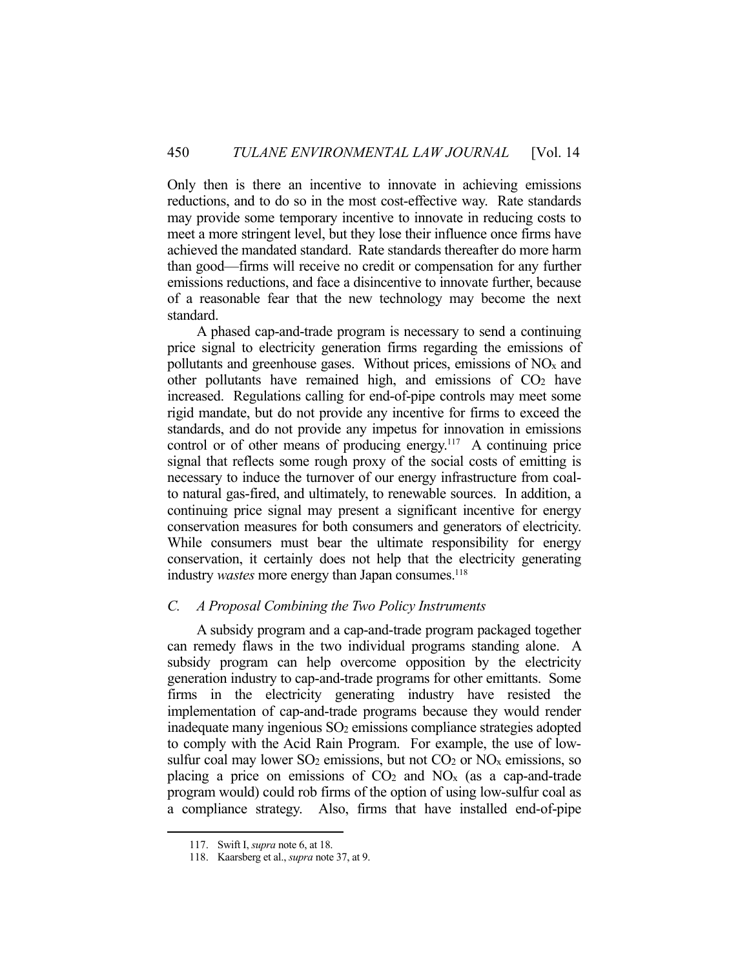Only then is there an incentive to innovate in achieving emissions reductions, and to do so in the most cost-effective way. Rate standards may provide some temporary incentive to innovate in reducing costs to meet a more stringent level, but they lose their influence once firms have achieved the mandated standard. Rate standards thereafter do more harm than good—firms will receive no credit or compensation for any further emissions reductions, and face a disincentive to innovate further, because of a reasonable fear that the new technology may become the next standard.

 A phased cap-and-trade program is necessary to send a continuing price signal to electricity generation firms regarding the emissions of pollutants and greenhouse gases. Without prices, emissions of  $NO<sub>x</sub>$  and other pollutants have remained high, and emissions of  $CO<sub>2</sub>$  have increased. Regulations calling for end-of-pipe controls may meet some rigid mandate, but do not provide any incentive for firms to exceed the standards, and do not provide any impetus for innovation in emissions control or of other means of producing energy.<sup>117</sup> A continuing price signal that reflects some rough proxy of the social costs of emitting is necessary to induce the turnover of our energy infrastructure from coalto natural gas-fired, and ultimately, to renewable sources. In addition, a continuing price signal may present a significant incentive for energy conservation measures for both consumers and generators of electricity. While consumers must bear the ultimate responsibility for energy conservation, it certainly does not help that the electricity generating industry *wastes* more energy than Japan consumes.<sup>118</sup>

#### *C. A Proposal Combining the Two Policy Instruments*

 A subsidy program and a cap-and-trade program packaged together can remedy flaws in the two individual programs standing alone. A subsidy program can help overcome opposition by the electricity generation industry to cap-and-trade programs for other emittants. Some firms in the electricity generating industry have resisted the implementation of cap-and-trade programs because they would render inadequate many ingenious SO2 emissions compliance strategies adopted to comply with the Acid Rain Program. For example, the use of lowsulfur coal may lower  $SO_2$  emissions, but not  $CO_2$  or  $NO_x$  emissions, so placing a price on emissions of  $CO<sub>2</sub>$  and  $NO<sub>x</sub>$  (as a cap-and-trade program would) could rob firms of the option of using low-sulfur coal as a compliance strategy. Also, firms that have installed end-of-pipe

 <sup>117.</sup> Swift I, *supra* note 6, at 18.

 <sup>118.</sup> Kaarsberg et al., *supra* note 37, at 9.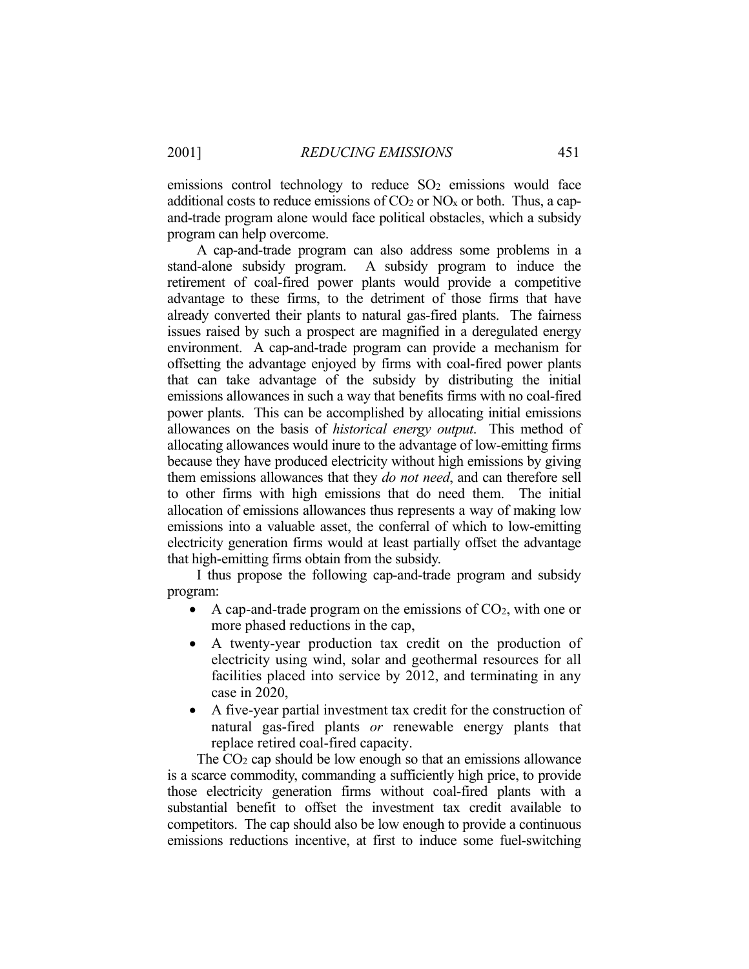emissions control technology to reduce  $SO<sub>2</sub>$  emissions would face additional costs to reduce emissions of  $CO<sub>2</sub>$  or NO<sub>x</sub> or both. Thus, a capand-trade program alone would face political obstacles, which a subsidy program can help overcome.

 A cap-and-trade program can also address some problems in a stand-alone subsidy program. A subsidy program to induce the retirement of coal-fired power plants would provide a competitive advantage to these firms, to the detriment of those firms that have already converted their plants to natural gas-fired plants. The fairness issues raised by such a prospect are magnified in a deregulated energy environment. A cap-and-trade program can provide a mechanism for offsetting the advantage enjoyed by firms with coal-fired power plants that can take advantage of the subsidy by distributing the initial emissions allowances in such a way that benefits firms with no coal-fired power plants. This can be accomplished by allocating initial emissions allowances on the basis of *historical energy output*. This method of allocating allowances would inure to the advantage of low-emitting firms because they have produced electricity without high emissions by giving them emissions allowances that they *do not need*, and can therefore sell to other firms with high emissions that do need them. The initial allocation of emissions allowances thus represents a way of making low emissions into a valuable asset, the conferral of which to low-emitting electricity generation firms would at least partially offset the advantage that high-emitting firms obtain from the subsidy.

 I thus propose the following cap-and-trade program and subsidy program:

- A cap-and-trade program on the emissions of  $CO<sub>2</sub>$ , with one or more phased reductions in the cap,
- A twenty-year production tax credit on the production of electricity using wind, solar and geothermal resources for all facilities placed into service by 2012, and terminating in any case in 2020,
- A five-year partial investment tax credit for the construction of natural gas-fired plants *or* renewable energy plants that replace retired coal-fired capacity.

The  $CO<sub>2</sub>$  cap should be low enough so that an emissions allowance is a scarce commodity, commanding a sufficiently high price, to provide those electricity generation firms without coal-fired plants with a substantial benefit to offset the investment tax credit available to competitors. The cap should also be low enough to provide a continuous emissions reductions incentive, at first to induce some fuel-switching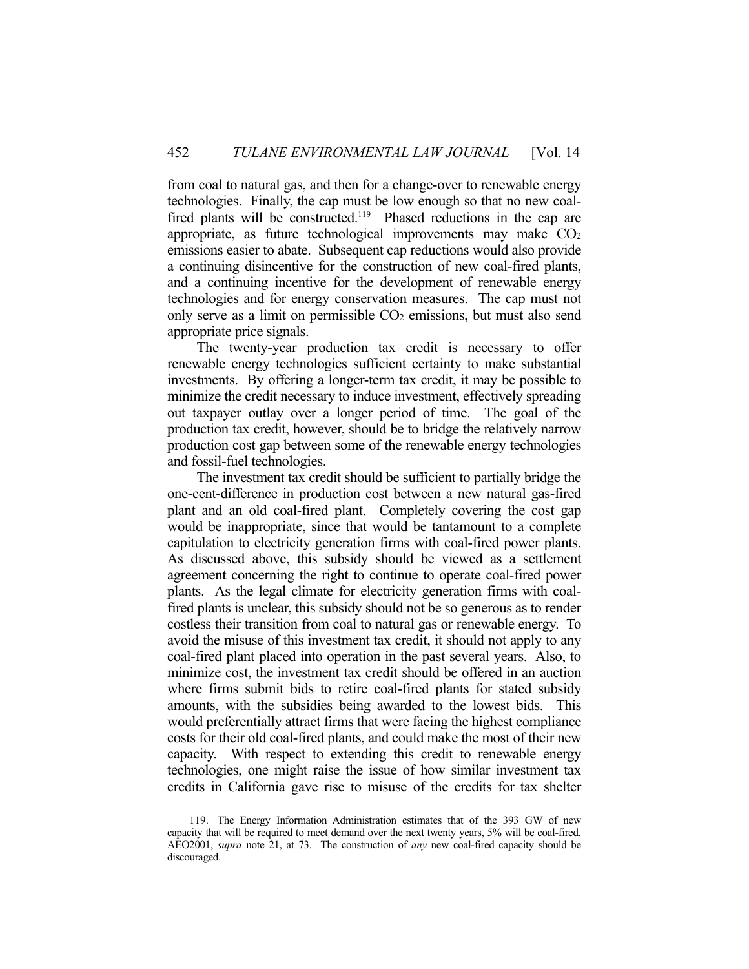from coal to natural gas, and then for a change-over to renewable energy technologies. Finally, the cap must be low enough so that no new coalfired plants will be constructed.<sup>119</sup> Phased reductions in the cap are appropriate, as future technological improvements may make CO<sub>2</sub> emissions easier to abate. Subsequent cap reductions would also provide a continuing disincentive for the construction of new coal-fired plants, and a continuing incentive for the development of renewable energy technologies and for energy conservation measures. The cap must not only serve as a limit on permissible  $CO<sub>2</sub>$  emissions, but must also send appropriate price signals.

 The twenty-year production tax credit is necessary to offer renewable energy technologies sufficient certainty to make substantial investments. By offering a longer-term tax credit, it may be possible to minimize the credit necessary to induce investment, effectively spreading out taxpayer outlay over a longer period of time. The goal of the production tax credit, however, should be to bridge the relatively narrow production cost gap between some of the renewable energy technologies and fossil-fuel technologies.

 The investment tax credit should be sufficient to partially bridge the one-cent-difference in production cost between a new natural gas-fired plant and an old coal-fired plant. Completely covering the cost gap would be inappropriate, since that would be tantamount to a complete capitulation to electricity generation firms with coal-fired power plants. As discussed above, this subsidy should be viewed as a settlement agreement concerning the right to continue to operate coal-fired power plants. As the legal climate for electricity generation firms with coalfired plants is unclear, this subsidy should not be so generous as to render costless their transition from coal to natural gas or renewable energy. To avoid the misuse of this investment tax credit, it should not apply to any coal-fired plant placed into operation in the past several years. Also, to minimize cost, the investment tax credit should be offered in an auction where firms submit bids to retire coal-fired plants for stated subsidy amounts, with the subsidies being awarded to the lowest bids. This would preferentially attract firms that were facing the highest compliance costs for their old coal-fired plants, and could make the most of their new capacity. With respect to extending this credit to renewable energy technologies, one might raise the issue of how similar investment tax credits in California gave rise to misuse of the credits for tax shelter

<u>.</u>

 <sup>119.</sup> The Energy Information Administration estimates that of the 393 GW of new capacity that will be required to meet demand over the next twenty years, 5% will be coal-fired. AEO2001, *supra* note 21, at 73. The construction of *any* new coal-fired capacity should be discouraged.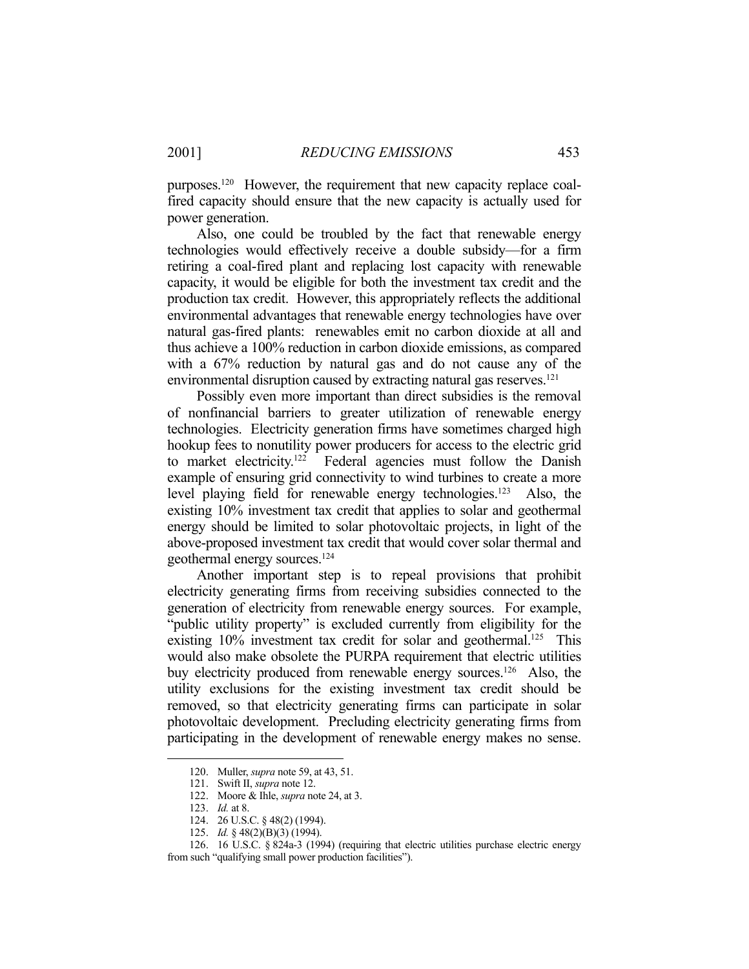purposes.120 However, the requirement that new capacity replace coalfired capacity should ensure that the new capacity is actually used for power generation.

 Also, one could be troubled by the fact that renewable energy technologies would effectively receive a double subsidy—for a firm retiring a coal-fired plant and replacing lost capacity with renewable capacity, it would be eligible for both the investment tax credit and the production tax credit. However, this appropriately reflects the additional environmental advantages that renewable energy technologies have over natural gas-fired plants: renewables emit no carbon dioxide at all and thus achieve a 100% reduction in carbon dioxide emissions, as compared with a 67% reduction by natural gas and do not cause any of the environmental disruption caused by extracting natural gas reserves.<sup>121</sup>

 Possibly even more important than direct subsidies is the removal of nonfinancial barriers to greater utilization of renewable energy technologies. Electricity generation firms have sometimes charged high hookup fees to nonutility power producers for access to the electric grid to market electricity.<sup>122</sup> Federal agencies must follow the Danish example of ensuring grid connectivity to wind turbines to create a more level playing field for renewable energy technologies.<sup>123</sup> Also, the existing 10% investment tax credit that applies to solar and geothermal energy should be limited to solar photovoltaic projects, in light of the above-proposed investment tax credit that would cover solar thermal and geothermal energy sources.124

 Another important step is to repeal provisions that prohibit electricity generating firms from receiving subsidies connected to the generation of electricity from renewable energy sources. For example, "public utility property" is excluded currently from eligibility for the existing  $10\%$  investment tax credit for solar and geothermal.<sup>125</sup> This would also make obsolete the PURPA requirement that electric utilities buy electricity produced from renewable energy sources.<sup>126</sup> Also, the utility exclusions for the existing investment tax credit should be removed, so that electricity generating firms can participate in solar photovoltaic development. Precluding electricity generating firms from participating in the development of renewable energy makes no sense.

<u>.</u>

 <sup>120.</sup> Muller, *supra* note 59, at 43, 51.

 <sup>121.</sup> Swift II, *supra* note 12.

 <sup>122.</sup> Moore & Ihle, *supra* note 24, at 3.

 <sup>123.</sup> *Id.* at 8.

 <sup>124. 26</sup> U.S.C. § 48(2) (1994).

 <sup>125.</sup> *Id.* § 48(2)(B)(3) (1994).

 <sup>126. 16</sup> U.S.C. § 824a-3 (1994) (requiring that electric utilities purchase electric energy from such "qualifying small power production facilities").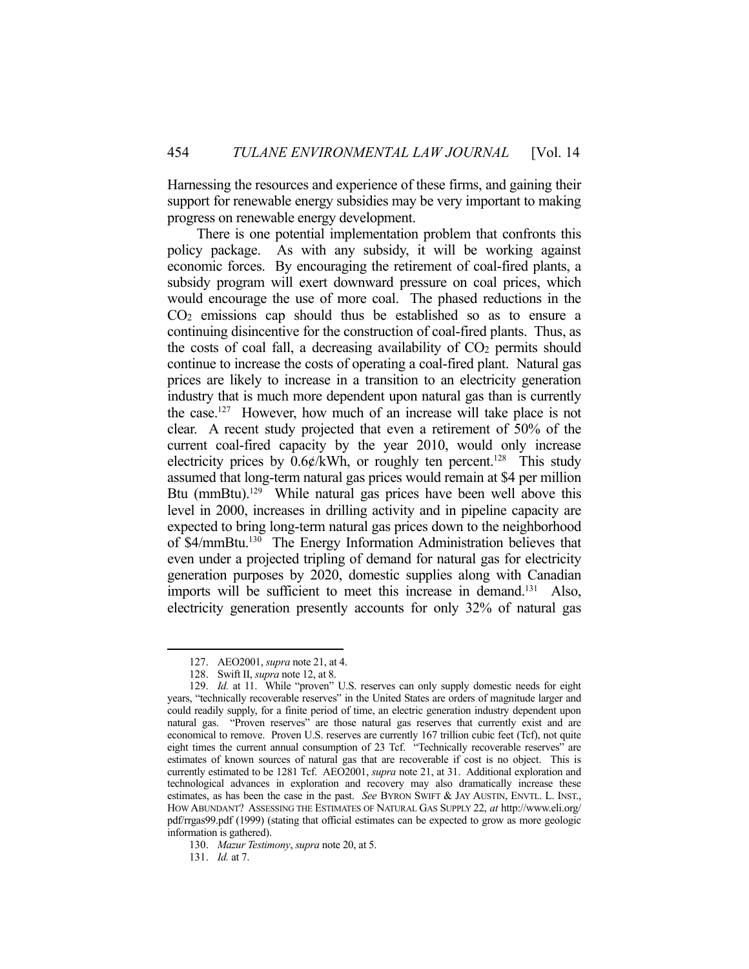Harnessing the resources and experience of these firms, and gaining their support for renewable energy subsidies may be very important to making progress on renewable energy development.

 There is one potential implementation problem that confronts this policy package. As with any subsidy, it will be working against economic forces. By encouraging the retirement of coal-fired plants, a subsidy program will exert downward pressure on coal prices, which would encourage the use of more coal. The phased reductions in the CO2 emissions cap should thus be established so as to ensure a continuing disincentive for the construction of coal-fired plants. Thus, as the costs of coal fall, a decreasing availability of CO2 permits should continue to increase the costs of operating a coal-fired plant. Natural gas prices are likely to increase in a transition to an electricity generation industry that is much more dependent upon natural gas than is currently the case.127 However, how much of an increase will take place is not clear. A recent study projected that even a retirement of 50% of the current coal-fired capacity by the year 2010, would only increase electricity prices by  $0.6\frac{\epsilon}{kWh}$ , or roughly ten percent.<sup>128</sup> This study assumed that long-term natural gas prices would remain at \$4 per million Btu (mmBtu).<sup>129</sup> While natural gas prices have been well above this level in 2000, increases in drilling activity and in pipeline capacity are expected to bring long-term natural gas prices down to the neighborhood of \$4/mmBtu.130 The Energy Information Administration believes that even under a projected tripling of demand for natural gas for electricity generation purposes by 2020, domestic supplies along with Canadian imports will be sufficient to meet this increase in demand.<sup>131</sup> Also, electricity generation presently accounts for only 32% of natural gas

 <sup>127.</sup> AEO2001, *supra* note 21, at 4.

 <sup>128.</sup> Swift II, *supra* note 12, at 8.

 <sup>129.</sup> *Id.* at 11. While "proven" U.S. reserves can only supply domestic needs for eight years, "technically recoverable reserves" in the United States are orders of magnitude larger and could readily supply, for a finite period of time, an electric generation industry dependent upon natural gas. "Proven reserves" are those natural gas reserves that currently exist and are economical to remove. Proven U.S. reserves are currently 167 trillion cubic feet (Tcf), not quite eight times the current annual consumption of 23 Tcf. "Technically recoverable reserves" are estimates of known sources of natural gas that are recoverable if cost is no object. This is currently estimated to be 1281 Tcf. AEO2001, *supra* note 21, at 31. Additional exploration and technological advances in exploration and recovery may also dramatically increase these estimates, as has been the case in the past. *See* BYRON SWIFT & JAY AUSTIN, ENVTL. L. INST., HOW ABUNDANT? ASSESSING THE ESTIMATES OF NATURAL GAS SUPPLY 22, *at* http://www.eli.org/ pdf/rrgas99.pdf (1999) (stating that official estimates can be expected to grow as more geologic information is gathered).

 <sup>130.</sup> *Mazur Testimony*, *supra* note 20, at 5.

 <sup>131.</sup> *Id.* at 7.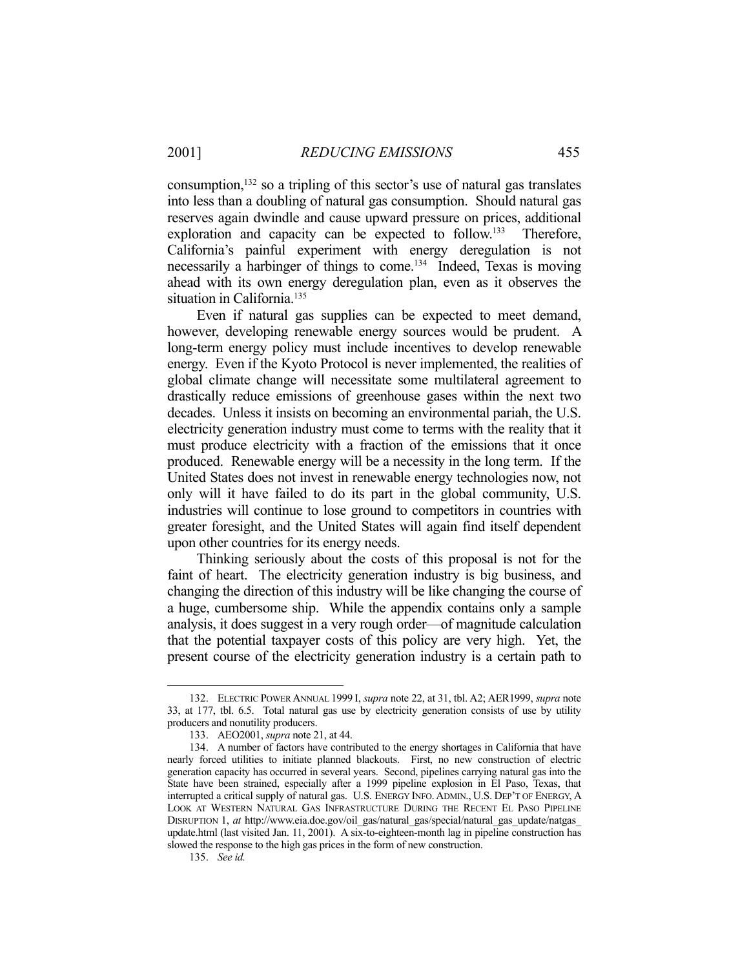consumption,132 so a tripling of this sector's use of natural gas translates into less than a doubling of natural gas consumption. Should natural gas reserves again dwindle and cause upward pressure on prices, additional exploration and capacity can be expected to follow.<sup>133</sup> Therefore, California's painful experiment with energy deregulation is not necessarily a harbinger of things to come.134 Indeed, Texas is moving ahead with its own energy deregulation plan, even as it observes the situation in California.<sup>135</sup>

 Even if natural gas supplies can be expected to meet demand, however, developing renewable energy sources would be prudent. A long-term energy policy must include incentives to develop renewable energy. Even if the Kyoto Protocol is never implemented, the realities of global climate change will necessitate some multilateral agreement to drastically reduce emissions of greenhouse gases within the next two decades. Unless it insists on becoming an environmental pariah, the U.S. electricity generation industry must come to terms with the reality that it must produce electricity with a fraction of the emissions that it once produced. Renewable energy will be a necessity in the long term. If the United States does not invest in renewable energy technologies now, not only will it have failed to do its part in the global community, U.S. industries will continue to lose ground to competitors in countries with greater foresight, and the United States will again find itself dependent upon other countries for its energy needs.

 Thinking seriously about the costs of this proposal is not for the faint of heart. The electricity generation industry is big business, and changing the direction of this industry will be like changing the course of a huge, cumbersome ship. While the appendix contains only a sample analysis, it does suggest in a very rough order—of magnitude calculation that the potential taxpayer costs of this policy are very high. Yet, the present course of the electricity generation industry is a certain path to

 <sup>132.</sup> ELECTRIC POWER ANNUAL 1999 I, *supra* note 22, at 31, tbl. A2; AER1999, *supra* note 33, at 177, tbl. 6.5. Total natural gas use by electricity generation consists of use by utility producers and nonutility producers.

 <sup>133.</sup> AEO2001, *supra* note 21, at 44.

 <sup>134.</sup> A number of factors have contributed to the energy shortages in California that have nearly forced utilities to initiate planned blackouts. First, no new construction of electric generation capacity has occurred in several years. Second, pipelines carrying natural gas into the State have been strained, especially after a 1999 pipeline explosion in El Paso, Texas, that interrupted a critical supply of natural gas. U.S. ENERGY INFO.ADMIN., U.S. DEP'T OF ENERGY, A LOOK AT WESTERN NATURAL GAS INFRASTRUCTURE DURING THE RECENT EL PASO PIPELINE DISRUPTION 1, *at* http://www.eia.doe.gov/oil\_gas/natural\_gas/special/natural\_gas\_update/natgas\_ update.html (last visited Jan. 11, 2001). A six-to-eighteen-month lag in pipeline construction has slowed the response to the high gas prices in the form of new construction.

 <sup>135.</sup> *See id.*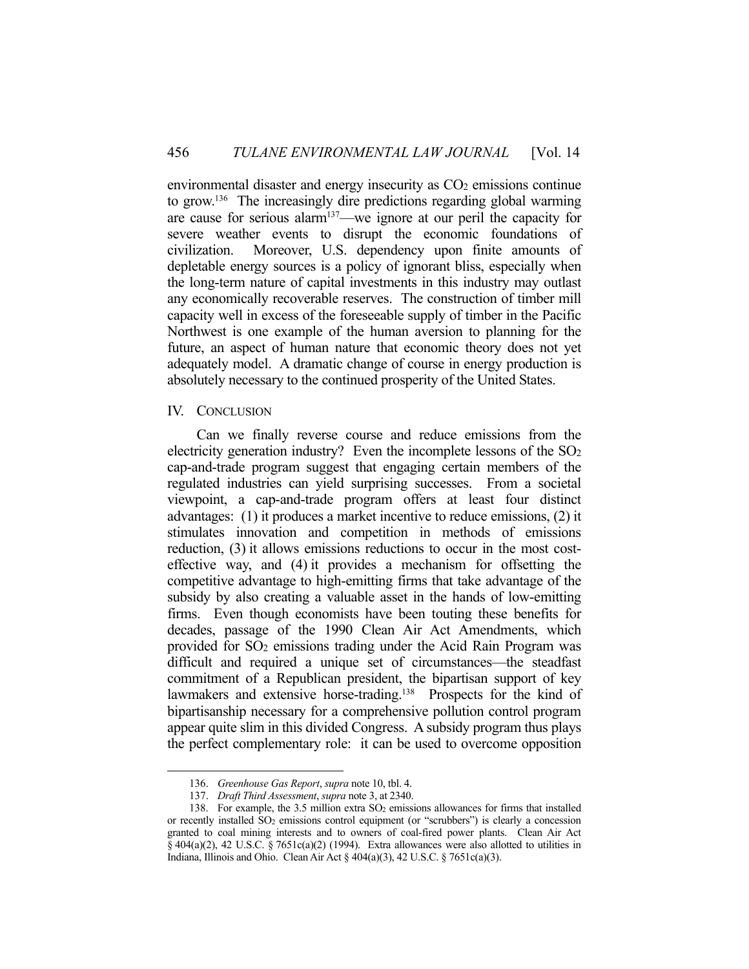environmental disaster and energy insecurity as  $CO<sub>2</sub>$  emissions continue to grow.136 The increasingly dire predictions regarding global warming are cause for serious alarm137—we ignore at our peril the capacity for severe weather events to disrupt the economic foundations of civilization. Moreover, U.S. dependency upon finite amounts of depletable energy sources is a policy of ignorant bliss, especially when the long-term nature of capital investments in this industry may outlast any economically recoverable reserves. The construction of timber mill capacity well in excess of the foreseeable supply of timber in the Pacific Northwest is one example of the human aversion to planning for the future, an aspect of human nature that economic theory does not yet adequately model. A dramatic change of course in energy production is absolutely necessary to the continued prosperity of the United States.

#### IV. CONCLUSION

1

 Can we finally reverse course and reduce emissions from the electricity generation industry? Even the incomplete lessons of the SO<sub>2</sub> cap-and-trade program suggest that engaging certain members of the regulated industries can yield surprising successes. From a societal viewpoint, a cap-and-trade program offers at least four distinct advantages: (1) it produces a market incentive to reduce emissions, (2) it stimulates innovation and competition in methods of emissions reduction, (3) it allows emissions reductions to occur in the most costeffective way, and (4) it provides a mechanism for offsetting the competitive advantage to high-emitting firms that take advantage of the subsidy by also creating a valuable asset in the hands of low-emitting firms. Even though economists have been touting these benefits for decades, passage of the 1990 Clean Air Act Amendments, which provided for SO2 emissions trading under the Acid Rain Program was difficult and required a unique set of circumstances—the steadfast commitment of a Republican president, the bipartisan support of key lawmakers and extensive horse-trading.<sup>138</sup> Prospects for the kind of bipartisanship necessary for a comprehensive pollution control program appear quite slim in this divided Congress. A subsidy program thus plays the perfect complementary role: it can be used to overcome opposition

 <sup>136.</sup> *Greenhouse Gas Report*, *supra* note 10, tbl. 4.

 <sup>137.</sup> *Draft Third Assessment*, *supra* note 3, at 2340.

<sup>138.</sup> For example, the 3.5 million extra  $SO<sub>2</sub>$  emissions allowances for firms that installed or recently installed SO<sub>2</sub> emissions control equipment (or "scrubbers") is clearly a concession granted to coal mining interests and to owners of coal-fired power plants. Clean Air Act  $§$  404(a)(2), 42 U.S.C.  $§$  7651c(a)(2) (1994). Extra allowances were also allotted to utilities in Indiana, Illinois and Ohio. Clean Air Act  $\S 404(a)(3)$ , 42 U.S.C.  $\S 7651c(a)(3)$ .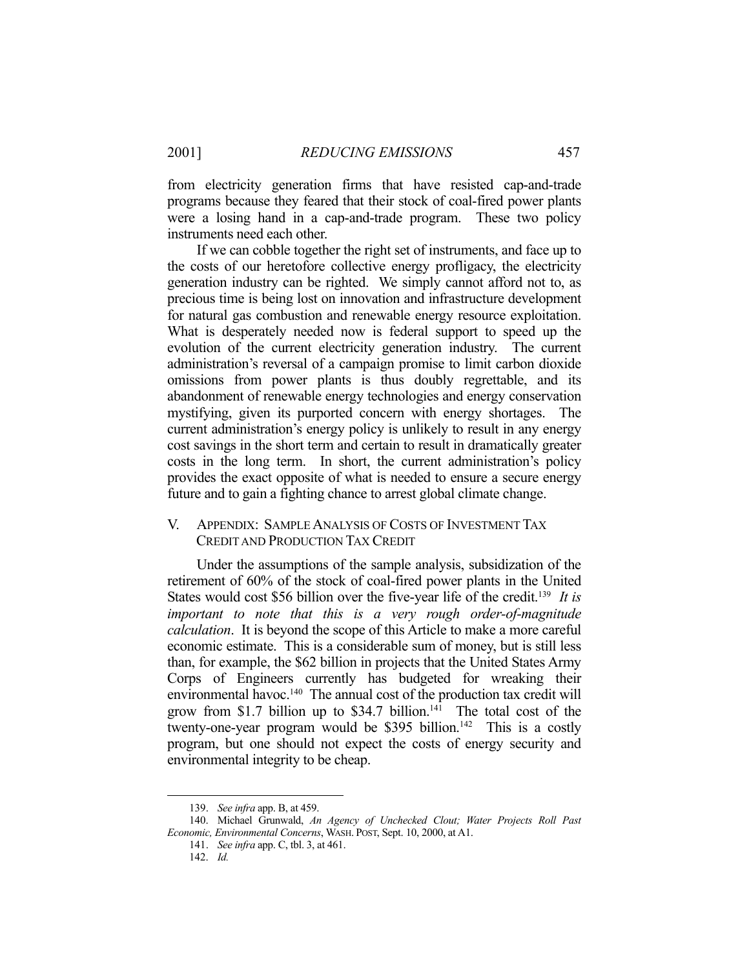from electricity generation firms that have resisted cap-and-trade programs because they feared that their stock of coal-fired power plants were a losing hand in a cap-and-trade program. These two policy instruments need each other.

 If we can cobble together the right set of instruments, and face up to the costs of our heretofore collective energy profligacy, the electricity generation industry can be righted. We simply cannot afford not to, as precious time is being lost on innovation and infrastructure development for natural gas combustion and renewable energy resource exploitation. What is desperately needed now is federal support to speed up the evolution of the current electricity generation industry. The current administration's reversal of a campaign promise to limit carbon dioxide omissions from power plants is thus doubly regrettable, and its abandonment of renewable energy technologies and energy conservation mystifying, given its purported concern with energy shortages. The current administration's energy policy is unlikely to result in any energy cost savings in the short term and certain to result in dramatically greater costs in the long term. In short, the current administration's policy provides the exact opposite of what is needed to ensure a secure energy future and to gain a fighting chance to arrest global climate change.

## V. APPENDIX: SAMPLE ANALYSIS OF COSTS OF INVESTMENT TAX CREDIT AND PRODUCTION TAX CREDIT

 Under the assumptions of the sample analysis, subsidization of the retirement of 60% of the stock of coal-fired power plants in the United States would cost \$56 billion over the five-year life of the credit.<sup>139</sup> It is *important to note that this is a very rough order-of-magnitude calculation*. It is beyond the scope of this Article to make a more careful economic estimate. This is a considerable sum of money, but is still less than, for example, the \$62 billion in projects that the United States Army Corps of Engineers currently has budgeted for wreaking their environmental havoc.<sup>140</sup> The annual cost of the production tax credit will grow from \$1.7 billion up to \$34.7 billion.<sup>141</sup> The total cost of the twenty-one-year program would be \$395 billion.<sup>142</sup> This is a costly program, but one should not expect the costs of energy security and environmental integrity to be cheap.

 <sup>139.</sup> *See infra* app. B, at 459.

 <sup>140.</sup> Michael Grunwald, *An Agency of Unchecked Clout; Water Projects Roll Past Economic, Environmental Concerns*, WASH. POST, Sept. 10, 2000, at A1.

 <sup>141.</sup> *See infra* app. C, tbl. 3, at 461.

 <sup>142.</sup> *Id.*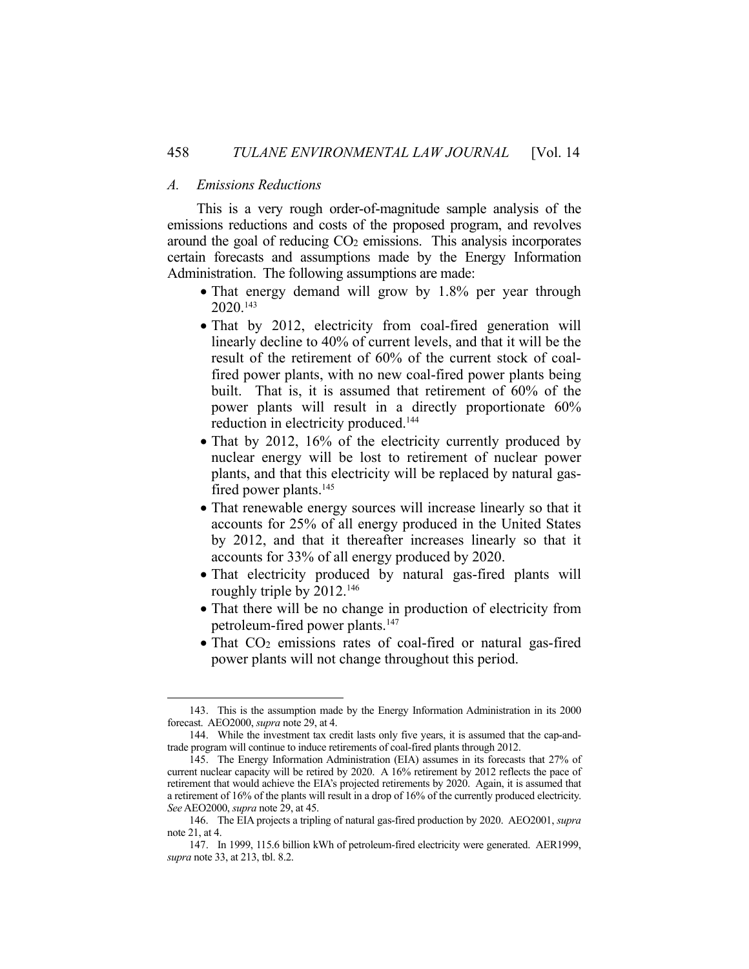#### *A. Emissions Reductions*

<u>.</u>

 This is a very rough order-of-magnitude sample analysis of the emissions reductions and costs of the proposed program, and revolves around the goal of reducing CO2 emissions. This analysis incorporates certain forecasts and assumptions made by the Energy Information Administration. The following assumptions are made:

- That energy demand will grow by 1.8% per year through 2020.143
- That by 2012, electricity from coal-fired generation will linearly decline to 40% of current levels, and that it will be the result of the retirement of 60% of the current stock of coalfired power plants, with no new coal-fired power plants being built. That is, it is assumed that retirement of 60% of the power plants will result in a directly proportionate 60% reduction in electricity produced.<sup>144</sup>
- That by 2012, 16% of the electricity currently produced by nuclear energy will be lost to retirement of nuclear power plants, and that this electricity will be replaced by natural gasfired power plants.<sup>145</sup>
- That renewable energy sources will increase linearly so that it accounts for 25% of all energy produced in the United States by 2012, and that it thereafter increases linearly so that it accounts for 33% of all energy produced by 2020.
- That electricity produced by natural gas-fired plants will roughly triple by 2012.146
- That there will be no change in production of electricity from petroleum-fired power plants.147
- That CO<sub>2</sub> emissions rates of coal-fired or natural gas-fired power plants will not change throughout this period.

 <sup>143.</sup> This is the assumption made by the Energy Information Administration in its 2000 forecast. AEO2000, *supra* note 29, at 4.

 <sup>144.</sup> While the investment tax credit lasts only five years, it is assumed that the cap-andtrade program will continue to induce retirements of coal-fired plants through 2012.

 <sup>145.</sup> The Energy Information Administration (EIA) assumes in its forecasts that 27% of current nuclear capacity will be retired by 2020. A 16% retirement by 2012 reflects the pace of retirement that would achieve the EIA's projected retirements by 2020. Again, it is assumed that a retirement of 16% of the plants will result in a drop of 16% of the currently produced electricity. *See* AEO2000, *supra* note 29, at 45.

 <sup>146.</sup> The EIA projects a tripling of natural gas-fired production by 2020. AEO2001, *supra* note 21, at 4.

 <sup>147.</sup> In 1999, 115.6 billion kWh of petroleum-fired electricity were generated. AER1999, *supra* note 33, at 213, tbl. 8.2.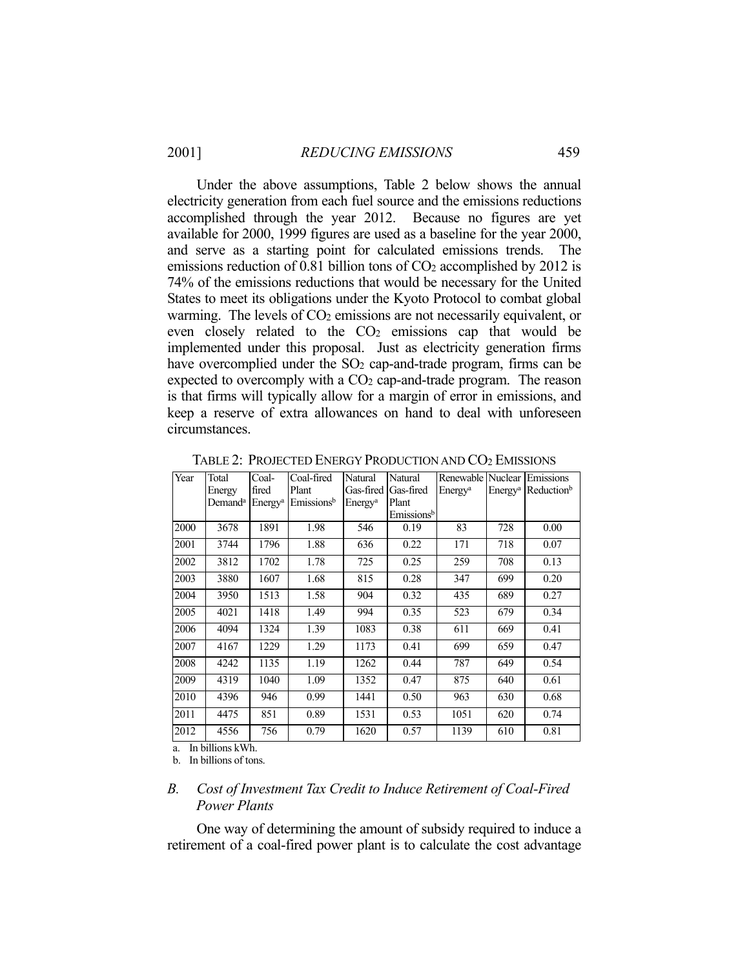Under the above assumptions, Table 2 below shows the annual electricity generation from each fuel source and the emissions reductions accomplished through the year 2012. Because no figures are yet available for 2000, 1999 figures are used as a baseline for the year 2000, and serve as a starting point for calculated emissions trends. The emissions reduction of 0.81 billion tons of CO<sub>2</sub> accomplished by 2012 is 74% of the emissions reductions that would be necessary for the United States to meet its obligations under the Kyoto Protocol to combat global warming. The levels of  $CO<sub>2</sub>$  emissions are not necessarily equivalent, or even closely related to the  $CO<sub>2</sub>$  emissions cap that would be implemented under this proposal. Just as electricity generation firms have overcomplied under the  $SO<sub>2</sub>$  cap-and-trade program, firms can be expected to overcomply with a  $CO<sub>2</sub>$  cap-and-trade program. The reason is that firms will typically allow for a margin of error in emissions, and keep a reserve of extra allowances on hand to deal with unforeseen circumstances.

| Year | Total               | Coal-               | Coal-fired             | Natural             | Natural                | Renewable Nuclear   |                     | Emissions              |
|------|---------------------|---------------------|------------------------|---------------------|------------------------|---------------------|---------------------|------------------------|
|      | Energy              | fired               | Plant                  | Gas-fired           | Gas-fired              | Energy <sup>a</sup> | Energy <sup>a</sup> | Reduction <sup>b</sup> |
|      | Demand <sup>a</sup> | Energy <sup>a</sup> | Emissions <sup>b</sup> | Energy <sup>a</sup> | Plant                  |                     |                     |                        |
|      |                     |                     |                        |                     | Emissions <sup>b</sup> |                     |                     |                        |
| 2000 | 3678                | 1891                | 1.98                   | 546                 | 0.19                   | 83                  | 728                 | 0.00                   |
| 2001 | 3744                | 1796                | 1.88                   | 636                 | 0.22                   | 171                 | 718                 | 0.07                   |
| 2002 | 3812                | 1702                | 1.78                   | 725                 | 0.25                   | 259                 | 708                 | 0.13                   |
| 2003 | 3880                | 1607                | 1.68                   | 815                 | 0.28                   | 347                 | 699                 | 0.20                   |
| 2004 | 3950                | 1513                | 1.58                   | 904                 | 0.32                   | 435                 | 689                 | 0.27                   |
| 2005 | 4021                | 1418                | 1.49                   | 994                 | 0.35                   | 523                 | 679                 | 0.34                   |
| 2006 | 4094                | 1324                | 1.39                   | 1083                | 0.38                   | 611                 | 669                 | 0.41                   |
| 2007 | 4167                | 1229                | 1.29                   | 1173                | 0.41                   | 699                 | 659                 | 0.47                   |
| 2008 | 4242                | 1135                | 1.19                   | 1262                | 0.44                   | 787                 | 649                 | 0.54                   |
| 2009 | 4319                | 1040                | 1.09                   | 1352                | 0.47                   | 875                 | 640                 | 0.61                   |
| 2010 | 4396                | 946                 | 0.99                   | 1441                | 0.50                   | 963                 | 630                 | 0.68                   |
| 2011 | 4475                | 851                 | 0.89                   | 1531                | 0.53                   | 1051                | 620                 | 0.74                   |
| 2012 | 4556                | 756                 | 0.79                   | 1620                | 0.57                   | 1139                | 610                 | 0.81                   |

TABLE 2: PROJECTED ENERGY PRODUCTION AND CO2 EMISSIONS

a. In billions kWh.

b. In billions of tons.

## *B. Cost of Investment Tax Credit to Induce Retirement of Coal-Fired Power Plants*

 One way of determining the amount of subsidy required to induce a retirement of a coal-fired power plant is to calculate the cost advantage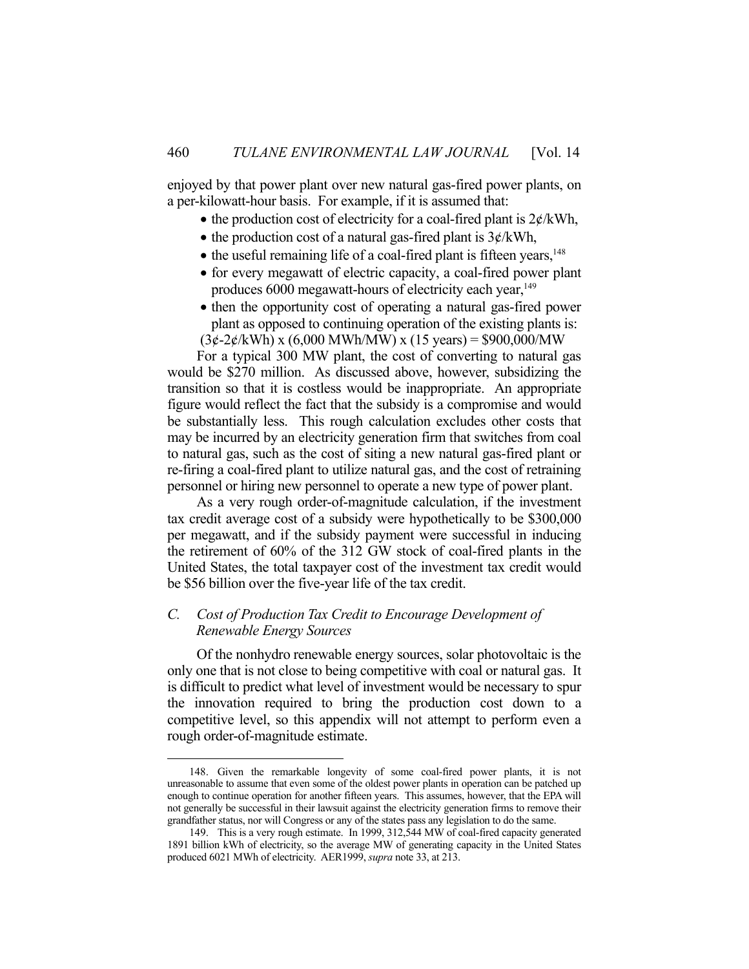enjoyed by that power plant over new natural gas-fired power plants, on a per-kilowatt-hour basis. For example, if it is assumed that:

- the production cost of electricity for a coal-fired plant is  $2\not\in$ /kWh,
- the production cost of a natural gas-fired plant is  $3¢/kWh$ ,
- $\bullet$  the useful remaining life of a coal-fired plant is fifteen years,<sup>148</sup>
- for every megawatt of electric capacity, a coal-fired power plant produces 6000 megawatt-hours of electricity each year,<sup>149</sup>
- then the opportunity cost of operating a natural gas-fired power plant as opposed to continuing operation of the existing plants is:

 $(3¢-2¢/kWh)$  x  $(6,000$  MWh/MW) x  $(15 \text{ years}) = $900,000/MW$ 

 For a typical 300 MW plant, the cost of converting to natural gas would be \$270 million. As discussed above, however, subsidizing the transition so that it is costless would be inappropriate. An appropriate figure would reflect the fact that the subsidy is a compromise and would be substantially less. This rough calculation excludes other costs that may be incurred by an electricity generation firm that switches from coal to natural gas, such as the cost of siting a new natural gas-fired plant or re-firing a coal-fired plant to utilize natural gas, and the cost of retraining personnel or hiring new personnel to operate a new type of power plant.

 As a very rough order-of-magnitude calculation, if the investment tax credit average cost of a subsidy were hypothetically to be \$300,000 per megawatt, and if the subsidy payment were successful in inducing the retirement of 60% of the 312 GW stock of coal-fired plants in the United States, the total taxpayer cost of the investment tax credit would be \$56 billion over the five-year life of the tax credit.

## *C. Cost of Production Tax Credit to Encourage Development of Renewable Energy Sources*

 Of the nonhydro renewable energy sources, solar photovoltaic is the only one that is not close to being competitive with coal or natural gas. It is difficult to predict what level of investment would be necessary to spur the innovation required to bring the production cost down to a competitive level, so this appendix will not attempt to perform even a rough order-of-magnitude estimate.

<u>.</u>

 <sup>148.</sup> Given the remarkable longevity of some coal-fired power plants, it is not unreasonable to assume that even some of the oldest power plants in operation can be patched up enough to continue operation for another fifteen years. This assumes, however, that the EPA will not generally be successful in their lawsuit against the electricity generation firms to remove their grandfather status, nor will Congress or any of the states pass any legislation to do the same.

 <sup>149.</sup> This is a very rough estimate. In 1999, 312,544 MW of coal-fired capacity generated 1891 billion kWh of electricity, so the average MW of generating capacity in the United States produced 6021 MWh of electricity. AER1999, *supra* note 33, at 213.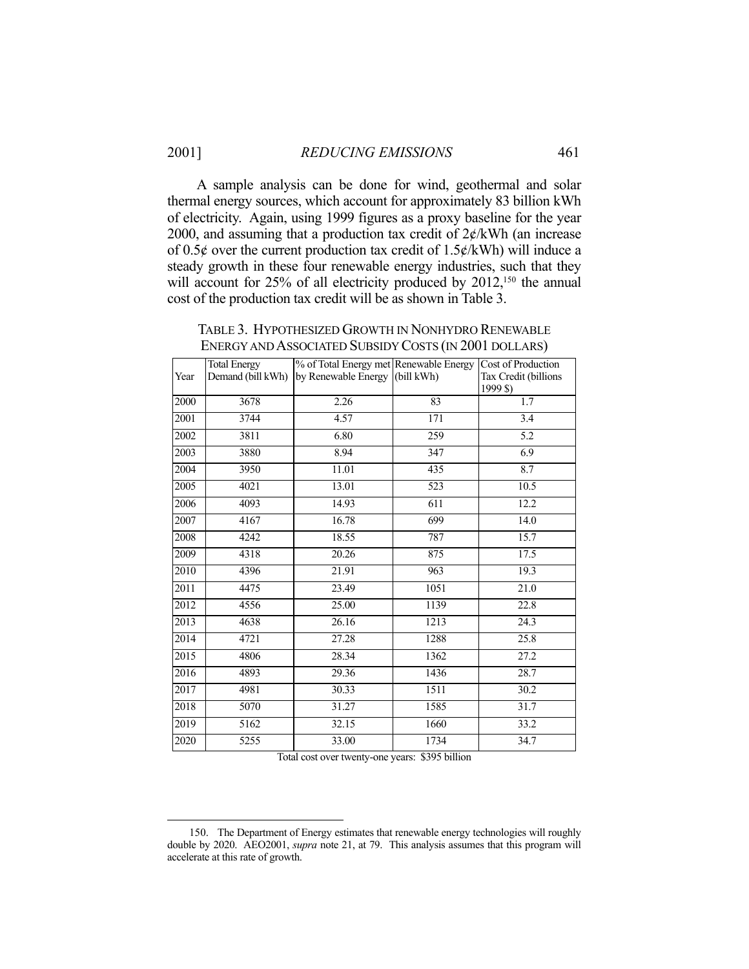A sample analysis can be done for wind, geothermal and solar thermal energy sources, which account for approximately 83 billion kWh of electricity. Again, using 1999 figures as a proxy baseline for the year 2000, and assuming that a production tax credit of  $2\not\in$  /kWh (an increase of 0.5 $\phi$  over the current production tax credit of 1.5 $\phi$ /kWh) will induce a steady growth in these four renewable energy industries, such that they will account for 25% of all electricity produced by 2012,<sup>150</sup> the annual cost of the production tax credit will be as shown in Table 3.

TABLE 3. HYPOTHESIZED GROWTH IN NONHYDRO RENEWABLE ENERGY AND ASSOCIATED SUBSIDY COSTS (IN 2001 DOLLARS)

| Year              | <b>Total Energy</b><br>Demand (bill kWh) | % of Total Energy met Renewable Energy<br>by Renewable Energy (bill kWh) |      | Cost of Production<br>Tax Credit (billions<br>1999 \$) |
|-------------------|------------------------------------------|--------------------------------------------------------------------------|------|--------------------------------------------------------|
| 2000              | 3678                                     | 2.26                                                                     | 83   | 1.7                                                    |
| 2001              | 3744                                     | 4.57                                                                     | 171  | 3.4                                                    |
| 2002              | 3811                                     | 6.80                                                                     | 259  | 5.2                                                    |
| 2003              | 3880                                     | 8.94                                                                     | 347  | 6.9                                                    |
| 2004              | 3950                                     | 11.01                                                                    | 435  | 8.7                                                    |
| 2005              | 4021                                     | 13.01                                                                    | 523  | 10.5                                                   |
| 2006              | 4093                                     | 14.93                                                                    | 611  | 12.2                                                   |
| 2007              | 4167                                     | 16.78                                                                    | 699  | 14.0                                                   |
| 2008              | $\overline{4}242$                        | 18.55                                                                    | 787  | 15.7                                                   |
| 2009              | 4318                                     | 20.26                                                                    | 875  | 17.5                                                   |
| 2010              | 4396                                     | 21.91                                                                    | 963  | 19.3                                                   |
| 2011              | 4475                                     | 23.49                                                                    | 1051 | 21.0                                                   |
| 2012              | 4556                                     | 25.00                                                                    | 1139 | 22.8                                                   |
| 2013              | 4638                                     | 26.16                                                                    | 1213 | 24.3                                                   |
| 2014              | 4721                                     | 27.28                                                                    | 1288 | 25.8                                                   |
| 2015              | 4806                                     | 28.34                                                                    | 1362 | 27.2                                                   |
| $\overline{2016}$ | 4893                                     | 29.36                                                                    | 1436 | 28.7                                                   |
| 2017              | 4981                                     | 30.33                                                                    | 1511 | 30.2                                                   |
| 2018              | 5070                                     | 31.27                                                                    | 1585 | 31.7                                                   |
| 2019              | 5162                                     | 32.15                                                                    | 1660 | 33.2                                                   |
| 2020              | 5255                                     | 33.00                                                                    | 1734 | 34.7                                                   |
|                   |                                          |                                                                          |      |                                                        |

Total cost over twenty-one years: \$395 billion

 <sup>150.</sup> The Department of Energy estimates that renewable energy technologies will roughly double by 2020. AEO2001, *supra* note 21, at 79. This analysis assumes that this program will accelerate at this rate of growth.